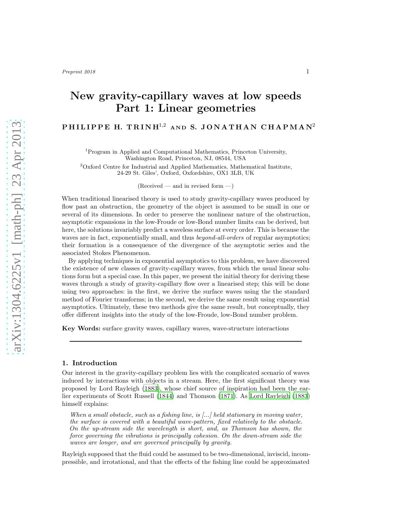# New gravity-capillary waves at low speeds Part 1: Linear geometries

## PHILIPPE H. TRINH $^{1,2}$  and S. JONATHAN CHAPMAN<sup>2</sup>

<sup>1</sup>Program in Applied and Computational Mathematics, Princeton University, Washington Road, Princeton, NJ, 08544, USA

<sup>2</sup>Oxford Centre for Industrial and Applied Mathematics, Mathematical Institute, 24-29 St. Giles', Oxford, Oxfordshire, OX1 3LB, UK

 $(Received - and in revised form -)$ 

When traditional linearised theory is used to study gravity-capillary waves produced by flow past an obstruction, the geometry of the object is assumed to be small in one or several of its dimensions. In order to preserve the nonlinear nature of the obstruction, asymptotic expansions in the low-Froude or low-Bond number limits can be derived, but here, the solutions invariably predict a waveless surface at every order. This is because the waves are in fact, exponentially small, and thus *beyond-all-orders* of regular asymptotics; their formation is a consequence of the divergence of the asymptotic series and the associated Stokes Phenomenon.

By applying techniques in exponential asymptotics to this problem, we have discovered the existence of new classes of gravity-capillary waves, from which the usual linear solutions form but a special case. In this paper, we present the initial theory for deriving these waves through a study of gravity-capillary flow over a linearised step; this will be done using two approaches: in the first, we derive the surface waves using the the standard method of Fourier transforms; in the second, we derive the same result using exponential asymptotics. Ultimately, these two methods give the same result, but conceptually, they offer different insights into the study of the low-Froude, low-Bond number problem.

Key Words: surface gravity waves, capillary waves, wave-structure interactions

#### 1. Introduction

Our interest in the gravity-capillary problem lies with the complicated scenario of waves induced by interactions with objects in a stream. Here, the first significant theory was proposed by Lord Rayleigh [\(1883\)](#page-23-0), whose chief source of inspiration had been the earlier experiments of Scott Russell [\(1844\)](#page-23-1) and Thomson [\(1871](#page-23-2)). As [Lord Rayleigh \(1883\)](#page-23-0) himself explains:

When a small obstacle, such as a fishing line, is  $[...]$  held stationary in moving water, the surface is covered with a beautiful wave-pattern, fixed relatively to the obstacle. On the up-stream side the wavelength is short, and, as Thomson has shown, the force governing the vibrations is principally cohesion. On the down-stream side the waves are longer, and are governed principally by gravity.

Rayleigh supposed that the fluid could be assumed to be two-dimensional, inviscid, incompressible, and irrotational, and that the effects of the fishing line could be approximated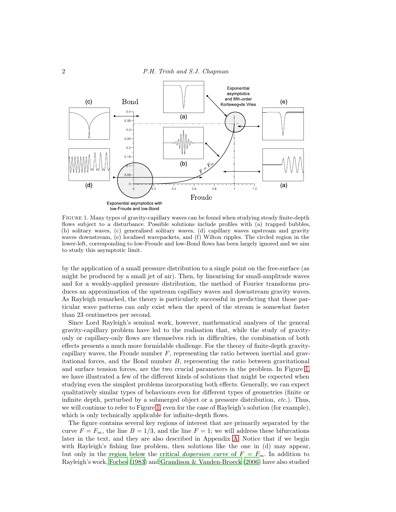

<span id="page-1-0"></span>Figure 1. Many types of gravity-capillary waves can be found when studying steady finite-depth flows subject to a disturbance. Possible solutions include profiles with (a) trapped bubbles, (b) solitary waves, (c) generalised solitary waves, (d) capillary waves upstream and gravity waves downstream, (e) localised wavepackets, and (f) Wilton ripples. The circled region in the lower-left, corresponding to low-Froude and low-Bond flows has been largely ignored and we aim to study this asymptotic limit.

by the application of a small pressure distribution to a single point on the free-surface (as might be produced by a small jet of air). Then, by linearising for small-amplitude waves and for a weakly-applied pressure distribution, the method of Fourier transforms produces an approximation of the upstream capillary waves and downstream gravity waves. As Rayleigh remarked, the theory is particularly successful in predicting that those particular wave patterns can only exist when the speed of the stream is somewhat faster than 23 centimetres per second.

Since Lord Rayleigh's seminal work, however, mathematical analyses of the general gravity-capillary problem have led to the realisation that, while the study of gravityonly or capillary-only flows are themselves rich in difficulties, the combination of both effects presents a much more formidable challenge. For the theory of finite-depth gravitycapillary waves, the Froude number  $F$ , representing the ratio between inertial and gravitational forces, and the Bond number  $B$ , representing the ratio between gravitational and surface tension forces, are the two crucial parameters in the problem. In Figure [1,](#page-1-0) we have illustrated a few of the different kinds of solutions that might be expected when studying even the simplest problems incorporating both effects. Generally, we can expect qualitatively similar types of behaviours even for different types of geometries (finite or infinite depth, perturbed by a submerged object or a pressure distribution, etc.). Thus, we will continue to refer to Figure [1,](#page-1-0) even for the case of Rayleigh's solution (for example), which is only technically applicable for infinite-depth flows.

The figure contains several key regions of interest that are primarily separated by the curve  $F = F_m$ , the line  $B = 1/3$ , and the line  $F = 1$ ; we will address these bifurcations later in the text, and they are also described in Appendix [A.](#page-20-0) Notice that if we begin with Rayleigh's fishing line problem, then solutions like the one in (d) may appear, but only in the region below the critical *dispersion curve* of  $F = F_m$ . In addition to Rayleigh's work, [Forbes \(1983\)](#page-22-0) and [Grandison & Vanden-Broeck \(2006\)](#page-22-1) have also studied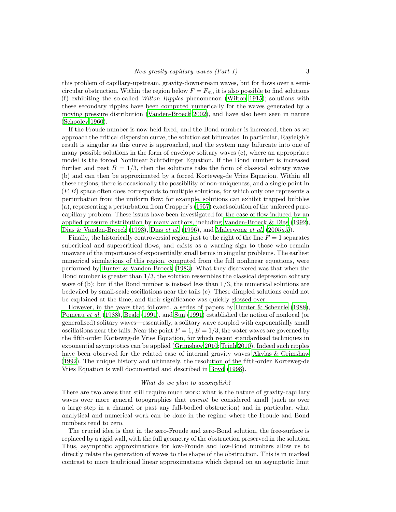this problem of capillary-upstream, gravity-downstream waves, but for flows over a semicircular obstruction. Within the region below  $F = F_m$ , it is also possible to find solutions (f) exhibiting the so-called Wilton Ripples phenomenon [\(Wilton 1915\)](#page-23-3); solutions with these secondary ripples have been computed numerically for the waves generated by a moving pressure distribution [\(Vanden-Broeck 2002\)](#page-23-4), and have also been seen in nature [\(Schooley 1960\)](#page-23-5).

If the Froude number is now held fixed, and the Bond number is increased, then as we approach the critical dispersion curve, the solution set bifurcates. In particular, Rayleigh's result is singular as this curve is approached, and the system may bifurcate into one of many possible solutions in the form of envelope solitary waves (e), where an appropriate model is the forced Nonlinear Schrödinger Equation. If the Bond number is increased further and past  $B = 1/3$ , then the solutions take the form of classical solitary waves (b) and can then be approximated by a forced Korteweg-de Vries Equation. Within all these regions, there is occasionally the possibility of non-uniqueness, and a single point in  $(F, B)$  space often does corresponds to multiple solutions, for which only one represents a perturbation from the uniform flow; for example, solutions can exhibit trapped bubbles (a), representing a perturbation from Crapper's [\(1957\)](#page-22-2) exact solution of the unforced purecapillary problem. These issues have been investigated for the case of flow induced by an applied pressure distribution by many authors, including [Vanden-Broeck & Dias \(1992](#page-23-6)), [Dias & Vanden-Broeck \(1993\)](#page-22-3), Dias *[et al.](#page-22-4)* [\(1996\)](#page-22-4), and [Maleewong](#page-22-5) *et al.* [\(2005](#page-22-5)*a,[b](#page-22-6)*).

Finally, the historically controversial region just to the right of the line  $F = 1$  separates subcritical and supercritical flows, and exists as a warning sign to those who remain unaware of the importance of exponentially small terms in singular problems. The earliest numerical simulations of this region, computed from the full nonlinear equations, were performed by [Hunter & Vanden-Broeck \(1983\)](#page-22-7). What they discovered was that when the Bond number is greater than  $1/3$ , the solution ressembles the classical depression solitary wave of  $(b)$ ; but if the Bond number is instead less than  $1/3$ , the numerical solutions are bedeviled by small-scale oscillations near the tails (c). These dimpled solutions could not be explained at the time, and their significance was quickly glossed over.

However, in the years that followed, a series of papers by [Hunter &](#page-22-8) Scheurle [\(1988](#page-22-8)), [Pomeau](#page-23-7) *et al.* [\(1988\)](#page-23-7), [Beale \(1991\)](#page-21-0), and [Sun \(1991\)](#page-23-8) established the notion of nonlocal (or generalised) solitary waves—essentially, a solitary wave coupled with exponentially small oscillations near the tails. Near the point  $F = 1$ ,  $B = 1/3$ , the water waves are governed by the fifth-order Korteweg-de Vries Equation, for which recent standardised techniques in exponential asymptotics can be applied [\(Grimshaw 2010;](#page-22-9) [Trinh 2010\)](#page-23-9). Indeed such ripples have been observed for the related case of internal gravity waves [Akylas & Grimshaw](#page-21-1) [\(1992\)](#page-21-1). The unique history and ultimately, the resolution of the fifth-order Korteweg-de Vries Equation is well documented and described in [Boyd \(1998\)](#page-22-10).

#### What do we plan to accomplish?

There are two areas that still require much work: what is the nature of gravity-capillary waves over more general topographies that *cannot* be considered small (such as over a large step in a channel or past any full-bodied obstruction) and in particular, what analytical and numerical work can be done in the regime where the Froude and Bond numbers tend to zero.

The crucial idea is that in the zero-Froude and zero-Bond solution, the free-surface is replaced by a rigid wall, with the full geometry of the obstruction preserved in the solution. Thus, asymptotic approximations for low-Froude and low-Bond numbers allow us to directly relate the generation of waves to the shape of the obstruction. This is in marked contrast to more traditional linear approximations which depend on an asymptotic limit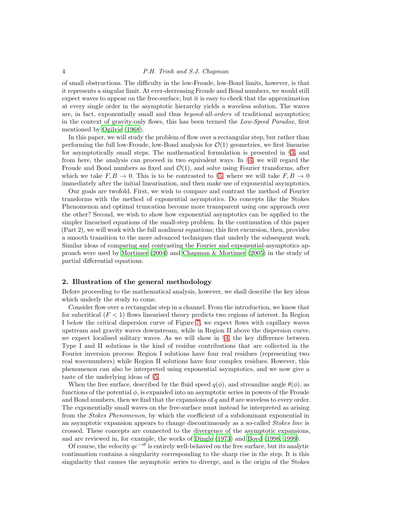#### 4 P.H. Trinh and S.J. Chapman

of small obstructions. The difficulty in the low-Froude, low-Bond limits, however, is that it represents a singular limit. At ever-decreasing Froude and Bond numbers, we would still expect waves to appear on the free-surface, but it is easy to check that the approximation at every single order in the asymptotic hierarchy yields a waveless solution. The waves are, in fact, exponentially small and thus *beyond-all-orders* of traditional asymptotics; in the context of gravity-only flows, this has been termed the Low-Speed Paradox, first mentioned by [Ogilvie \(1968\)](#page-22-11).

In this paper, we will study the problem of flow over a rectangular step, but rather than performing the full low-Froude, low-Bond analysis for  $\mathcal{O}(1)$  geometries, we first linearise for asymptotically small steps. The mathematical formulation is presented in §[3,](#page-5-0) and from here, the analysis can proceed in two equivalent ways. In §[4,](#page-6-0) we will regard the Froude and Bond numbers as fixed and  $\mathcal{O}(1)$ , and solve using Fourier transforms, after which we take  $F, B \to 0$ . This is to be contrasted to §[5,](#page-10-0) where we will take  $F, B \to 0$ immediately after the initial linearisation, and then make use of exponential asymptotics.

Our goals are twofold. First, we wish to compare and contrast the method of Fourier transforms with the method of exponential asymptotics. Do concepts like the Stokes Phenomenon and optimal truncation become more transparent using one approach over the other? Second, we wish to show how exponential asymptotics can be applied to the simpler linearised equations of the small-step problem. In the continuation of this paper (Part 2), we will work with the full nonlinear equations; this first excursion, then, provides a smooth transition to the more advanced techniques that underly the subsequent work. Similar ideas of comparing and contrasting the Fourier and exponential-asymptotics approach were used by [Mortimer \(2004\)](#page-22-12) and [Chapman & Mortimer \(2005\)](#page-22-13) in the study of partial differential equations.

## 2. Illustration of the general methodology

Before proceeding to the mathematical analysis, however, we shall describe the key ideas which underly the study to come.

Consider flow over a rectangular step in a channel. From the introduction, we know that for subcritical  $(F < 1)$  flows linearised theory predicts two regions of interest. In Region I below the critical dispersion curve of Figure [7,](#page-21-2) we expect flows with capillary waves upstream and gravity waves downstream, while in Region II above the dispersion curve, we expect localised solitary waves. As we will show in §[4,](#page-6-0) the key difference between Type I and II solutions is the kind of residue contributions that are collected in the Fourier inversion process: Region I solutions have four real residues (representing two real wavenumbers) while Region II solutions have four complex residues. However, this phenomenon can also be interpreted using exponential asymptotics, and we now give a taste of the underlying ideas of §[5.](#page-10-0)

When the free surface, described by the fluid speed  $q(\phi)$ , and streamline angle  $\theta(\phi)$ , as functions of the potential  $\phi$ , is expanded into an asymptotic series in powers of the Froude and Bond numbers, then we find that the expansions of  $q$  and  $\theta$  are waveless to every order. The exponentially small waves on the free-surface must instead be interpreted as arising from the *Stokes Phenomenon*, by which the coefficient of a subdominant exponential in an asymptotic expansion appears to change discontinuously as a so-called Stokes line is crossed. These concepts are connected to the divergence of the asymptotic expansions, and are reviewed in, for example, the works of [Dingle \(1973\)](#page-22-14) and [Boyd \(1998,](#page-22-10) [1999\)](#page-22-15).

Of course, the velocity  $qe^{-i\theta}$  is entirely well-behaved on the free surface, but its analytic continuation contains a singularity corresponding to the sharp rise in the step. It is this singularity that causes the asymptotic series to diverge, and is the origin of the Stokes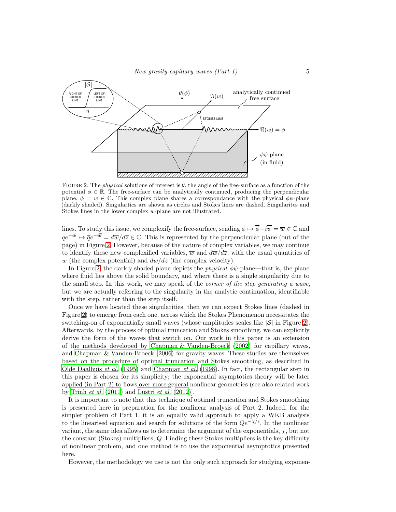

<span id="page-4-0"></span>FIGURE 2. The *physical* solutions of interest is  $\theta$ , the angle of the free-surface as a function of the potential  $\phi \in \mathbb{R}$ . The free-surface can be analytically continued, producing the perpendicular plane,  $\phi = w \in \mathbb{C}$ . This complex plane shares a correspondance with the physical  $\phi\psi$ -plane (darkly shaded). Singularties are shown as circles and Stokes lines are dashed. Singularites and Stokes lines in the lower complex w-plane are not illustrated.

lines. To study this issue, we complexify the free-surface, sending  $\phi \mapsto \overline{\phi} + i\overline{\psi} = \overline{w} \in \mathbb{C}$  and  $qe^{-i\theta} \mapsto \overline{q}e^{-i\overline{\theta}} = d\overline{w}/d\overline{z} \in \mathbb{C}$ . This is represented by the perpendicular plane (out of the page) in Figure [2.](#page-4-0) However, because of the nature of complex variables, we may continue to identify these new complexified variables,  $\overline{w}$  and  $d\overline{w}/d\overline{z}$ , with the usual quantities of w (the complex potential) and  $dw/dz$  (the complex velocity).

In Figure [2,](#page-4-0) the darkly shaded plane depicts the *physical*  $\phi\psi$ -plane—that is, the plane where fluid lies above the solid boundary, and where there is a single singularity due to the small step. In this work, we may speak of the *corner of the step generating a wave*, but we are actually referring to the singularity in the analytic continuation, identifiable with the step, rather than the step itself.

Once we have located these singularities, then we can expect Stokes lines (dashed in Figure [2\)](#page-4-0) to emerge from each one, across which the Stokes Phenomenon necessitates the switching-on of exponentially small waves (whose amplitudes scales like  $|\mathcal{S}|$  in Figure [2\)](#page-4-0). Afterwards, by the process of optimal truncation and Stokes smoothing, we can explicitly derive the form of the waves that switch on. Our work in this paper is an extension of the methods developed by [Chapman & Vanden-Broeck \(2002](#page-22-16)) for capillary waves, and [Chapman & Vanden-Broeck \(2006](#page-22-17)) for gravity waves. These studies are themselves based on the procedure of optimal truncation and Stokes smoothing, as described in [Olde Daalhuis](#page-22-18) et al. [\(1995\)](#page-22-18) and [Chapman](#page-22-19) et al. [\(1998\)](#page-22-19). In fact, the rectangular step in this paper is chosen for its simplicity; the exponential asymptotics theory will be later applied (in Part 2) to flows over more general nonlinear geometries (see also related work by [Trinh](#page-23-10) *et al.*  $(2011)$  and [Lustri](#page-22-20) *et al.*  $(2012)$ ].

It is important to note that this technique of optimal truncation and Stokes smoothing is presented here in preparation for the nonlinear analysis of Part 2. Indeed, for the simpler problem of Part 1, it is an equally valid approach to apply a WKB analysis to the linearised equation and search for solutions of the form  $Qe^{-\chi/\epsilon}$ . In the nonlinear variant, the same idea allows us to determine the argument of the exponentials,  $\chi$ , but not the constant (Stokes) multipliers, Q. Finding these Stokes multipliers is the key difficulty of nonlinear problem, and one method is to use the exponential asymptotics presented here.

However, the methodology we use is not the only such approach for studying exponen-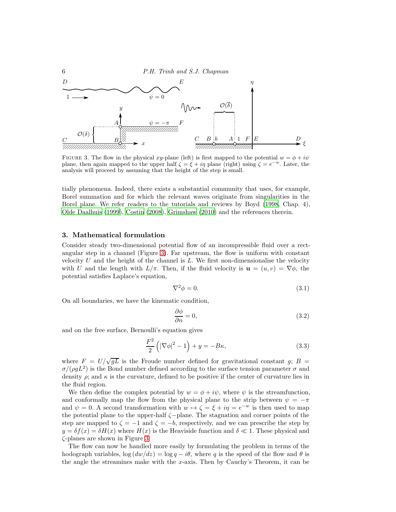6 P.H. Trinh and S.J. Chapman



<span id="page-5-1"></span>FIGURE 3. The flow in the physical xy-plane (left) is first mapped to the potential  $w = \phi + i\psi$ plane, then again mapped to the upper half  $\zeta = \xi + i\eta$  plane (right) using  $\zeta = e^{-w}$ . Later, the analysis will proceed by assuming that the height of the step is small.

tially phenomena. Indeed, there exists a substantial community that uses, for example, Borel summation and for which the relevant waves originate from singularities in the Borel plane. We refer readers to the tutorials and reviews by Boyd [\(1998](#page-22-10), Chap. 4), [Olde Daalhuis \(1999\)](#page-22-21), [Costin \(2008](#page-22-22)), [Grimshaw \(2010](#page-22-9)) and the references therein.

#### <span id="page-5-0"></span>3. Mathematical formulation

Consider steady two-dimensional potential flow of an incompressible fluid over a rectangular step in a channel (Figure [3\)](#page-5-1). Far upstream, the flow is uniform with constant velocity U and the height of the channel is  $L$ . We first non-dimensionalise the velocity with U and the length with  $L/\pi$ . Then, if the fluid velocity is  $\mathbf{u} = (u, v) = \nabla \phi$ , the potential satisfies Laplace's equation,

$$
\nabla^2 \phi = 0. \tag{3.1}
$$

On all boundaries, we have the kinematic condition,

$$
\frac{\partial \phi}{\partial n} = 0,\t\t(3.2)
$$

and on the free surface, Bernoulli's equation gives

<span id="page-5-2"></span>
$$
\frac{F^2}{2}\left(|\nabla\phi|^2 - 1\right) + y = -B\kappa,\tag{3.3}
$$

where  $F = U/\sqrt{gL}$  is the Froude number defined for gravitational constant g; B =  $\sigma/(\rho g L^2)$  is the Bond number defined according to the surface tension parameter  $\sigma$  and density  $\rho$ ; and  $\kappa$  is the curvature, defined to be positive if the center of curvature lies in the fluid region.

We then define the complex potential by  $w = \phi + i\psi$ , where  $\psi$  is the streamfunction, and conformally map the flow from the physical plane to the strip between  $\psi = -\pi$ and  $\psi = 0$ . A second transformation with  $w \mapsto \zeta = \xi + i\eta = e^{-w}$  is then used to map the potential plane to the upper-half ζ−plane. The stagnation and corner points of the step are mapped to  $\zeta = -1$  and  $\zeta = -b$ , respectively, and we can prescribe the step by  $y = \delta f(x) = \delta H(x)$  where  $H(x)$  is the Heaviside function and  $\delta \ll 1$ . These physical and ζ-planes are shown in Figure [3.](#page-5-1)

The flow can now be handled more easily by formulating the problem in terms of the hodograph variables,  $\log (dw/dz) = \log q - i\theta$ , where q is the speed of the flow and  $\theta$  is the angle the streamines make with the  $x$ -axis. Then by Cauchy's Theorem, it can be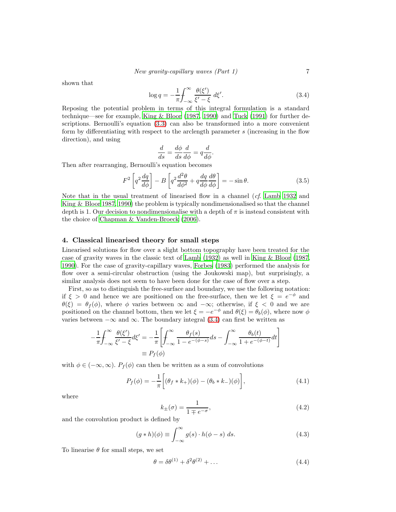shown that

<span id="page-6-1"></span>
$$
\log q = -\frac{1}{\pi} \int_{-\infty}^{\infty} \frac{\theta(\xi')}{\xi' - \xi} d\xi'.
$$
\n(3.4)

Reposing the potential problem in terms of this integral formulation is a standard technique—see for example, [King & Bloor \(1987](#page-22-23), [1990\)](#page-22-24) and [Tuck \(1991](#page-23-11)) for further descriptions. Bernoulli's equation [\(3.3\)](#page-5-2) can also be transformed into a more convenient form by differentiating with respect to the arclength parameter s (increasing in the flow direction), and using

$$
\frac{d}{ds} = \frac{d\phi}{ds}\frac{d}{d\phi} = q\frac{d}{d\phi}.
$$

Then after rearranging, Bernoulli's equation becomes

<span id="page-6-2"></span>
$$
F^{2}\left[q^{2}\frac{dq}{d\phi}\right] - B\left[q^{2}\frac{d^{2}\theta}{d\phi^{2}} + q\frac{dq}{d\phi}\frac{d\theta}{d\phi}\right] = -\sin\theta.
$$
 (3.5)

Note that in the usual treatment of linearised flow in a channel (*cf.* [Lamb 1932](#page-22-25) and [King & Bloor 1987,](#page-22-23) [1990\)](#page-22-24) the problem is typically nondimensionalised so that the channel depth is 1. Our decision to nondimensionalise with a depth of  $\pi$  is instead consistent with the choice of [Chapman & Vanden-Broeck \(2006\)](#page-22-17).

#### <span id="page-6-0"></span>4. Classical linearised theory for small steps

Linearised solutions for flow over a slight bottom topography have been treated for the case of gravity waves in the classic text of [Lamb \(1932\)](#page-22-25) as well in King [& Bloor \(1987](#page-22-23), [1990\)](#page-22-24). For the case of gravity-capillary waves, [Forbes \(1983](#page-22-0)) performed the analysis for flow over a semi-circular obstruction (using the Joukowski map), but surprisingly, a similar analysis does not seem to have been done for the case of flow over a step.

First, so as to distinguish the free-surface and boundary, we use the following notation: if  $\xi > 0$  and hence we are positioned on the free-surface, then we let  $\xi = e^{-\phi}$  and  $\theta(\xi) = \theta_f(\phi)$ , where  $\phi$  varies between  $\infty$  and  $-\infty$ ; otherwise, if  $\xi < 0$  and we are positioned on the channel bottom, then we let  $\xi = -e^{-\phi}$  and  $\theta(\xi) = \theta_b(\phi)$ , where now  $\phi$ varies between  $-\infty$  and  $\infty$ . The boundary integral [\(3.4\)](#page-6-1) can first be written as

$$
-\frac{1}{\pi} \int_{-\infty}^{\infty} \frac{\theta(\xi')}{\xi' - \xi} d\xi' = -\frac{1}{\pi} \left[ \int_{-\infty}^{\infty} \frac{\theta_f(s)}{1 - e^{-(\phi - s)}} ds - \int_{-\infty}^{\infty} \frac{\theta_b(t)}{1 + e^{-(\phi - t)}} dt \right]
$$

$$
\equiv P_f(\phi)
$$

with  $\phi \in (-\infty, \infty)$ .  $P_f(\phi)$  can then be written as a sum of convolutions

$$
P_f(\phi) = -\frac{1}{\pi} \left[ (\theta_f * k_+)(\phi) - (\theta_b * k_-)(\phi) \right],
$$
\n(4.1)

where

$$
k_{\pm}(\sigma) = \frac{1}{1 \mp e^{-\sigma}},\tag{4.2}
$$

and the convolution product is defined by

$$
(g * h)(\phi) \equiv \int_{-\infty}^{\infty} g(s) \cdot h(\phi - s) \ ds.
$$
 (4.3)

To linearise  $\theta$  for small steps, we set

$$
\theta = \delta \theta^{(1)} + \delta^2 \theta^{(2)} + \dots \tag{4.4}
$$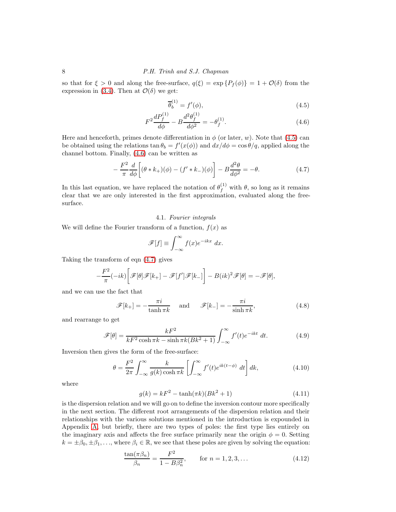so that for  $\xi > 0$  and along the free-surface,  $q(\xi) = \exp\{P_f(\phi)\} = 1 + \mathcal{O}(\delta)$  from the expression in [\(3.4\)](#page-6-1). Then at  $\mathcal{O}(\delta)$  we get:

<span id="page-7-1"></span><span id="page-7-0"></span>
$$
\overline{\theta}_b^{(1)} = f'(\phi),\tag{4.5}
$$

$$
F^2 \frac{dP_f^{(1)}}{d\phi} - B \frac{d^2 \theta_f^{(1)}}{d\phi^2} = -\theta_f^{(1)}.
$$
\n(4.6)

Here and henceforth, primes denote differentiation in  $\phi$  (or later, w). Note that [\(4.5\)](#page-7-0) can be obtained using the relations  $\tan \theta_b = f'(x(\phi))$  and  $dx/d\phi = \cos \theta/q$ , applied along the channel bottom. Finally, [\(4.6\)](#page-7-1) can be written as

<span id="page-7-2"></span>
$$
-\frac{F^2}{\pi} \frac{d}{d\phi} \left[ (\theta * k_+)(\phi) - (f' * k_-)(\phi) \right] - B \frac{d^2 \theta}{d\phi^2} = -\theta.
$$
 (4.7)

In this last equation, we have replaced the notation of  $\theta_f^{(1)}$  with  $\theta$ , so long as it remains clear that we are only interested in the first approximation, evaluated along the freesurface.

#### 4.1. Fourier integrals

We will define the Fourier transform of a function,  $f(x)$  as

$$
\mathscr{F}[f] \equiv \int_{-\infty}^{\infty} f(x)e^{-ikx} dx.
$$

Taking the transform of eqn [\(4.7\)](#page-7-2) gives

$$
-\frac{F^2}{\pi}(-ik)\bigg[\mathscr{F}[\theta]\mathscr{F}[k_+] - \mathscr{F}[f']\mathscr{F}[k_-]\bigg] - B(ik)^2\mathscr{F}[\theta] = -\mathscr{F}[\theta],
$$

and we can use the fact that

$$
\mathscr{F}[k_+] = -\frac{\pi i}{\tanh \pi k} \quad \text{and} \quad \mathscr{F}[k_-] = -\frac{\pi i}{\sinh \pi k}, \tag{4.8}
$$

and rearrange to get

$$
\mathscr{F}[\theta] = \frac{kF^2}{kF^2 \cosh \pi k - \sinh \pi k (Bk^2 + 1)} \int_{-\infty}^{\infty} f'(t)e^{-ikt} dt.
$$
 (4.9)

Inversion then gives the form of the free-surface:

<span id="page-7-3"></span>
$$
\theta = \frac{F^2}{2\pi} \int_{-\infty}^{\infty} \frac{k}{g(k)\cosh\pi k} \left[ \int_{-\infty}^{\infty} f'(t)e^{ik(t-\phi)} dt \right] dk,\tag{4.10}
$$

where

<span id="page-7-4"></span>
$$
g(k) = kF^2 - \tanh(\pi k)(Bk^2 + 1)
$$
\n(4.11)

is the dispersion relation and we will go on to define the inversion contour more specifically in the next section. The different root arrangements of the dispersion relation and their relationships with the various solutions mentioned in the introduction is expounded in Appendix [A,](#page-20-0) but briefly, there are two types of poles: the first type lies entirely on the imaginary axis and affects the free surface primarily near the origin  $\phi = 0$ . Setting  $k = \pm \beta_0, \pm \beta_1, \ldots$ , where  $\beta_i \in \mathbb{R}$ , we see that these poles are given by solving the equation:

<span id="page-7-5"></span>
$$
\frac{\tan(\pi \beta_n)}{\beta_n} = \frac{F^2}{1 - B\beta_n^2}, \quad \text{for } n = 1, 2, 3, ... \tag{4.12}
$$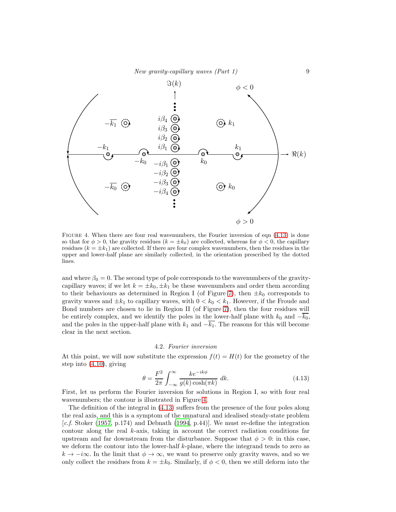

<span id="page-8-1"></span>FIGURE 4. When there are four real wavenumbers, the Fourier inversion of eqn  $(4.13)$  is done so that for  $\phi > 0$ , the gravity residues  $(k = \pm k_0)$  are collected, whereas for  $\phi < 0$ , the capillary residues  $(k = \pm k_1)$  are collected. If there are four complex wavenumbers, then the residues in the upper and lower-half plane are similarly collected, in the orientation prescribed by the dotted lines.

and where  $\beta_0 = 0$ . The second type of pole corresponds to the wavenumbers of the gravitycapillary waves; if we let  $k = \pm k_0, \pm k_1$  be these wavenumbers and order them according to their behaviours as determined in Region I (of Figure [7\)](#page-21-2), then  $\pm k_0$  corresponds to gravity waves and  $\pm k_1$  to capillary waves, with  $0 < k_0 < k_1$ . However, if the Froude and Bond numbers are chosen to lie in Region II (of Figure [7\)](#page-21-2), then the four residues will be entirely complex, and we identify the poles in the lower-half plane with  $k_0$  and  $-\overline{k_0}$ , and the poles in the upper-half plane with  $k_1$  and  $-\overline{k_1}$ . The reasons for this will become clear in the next section.

#### 4.2. Fourier inversion

At this point, we will now substitute the expression  $f(t) = H(t)$  for the geometry of the step into [\(4.10\)](#page-7-3), giving

<span id="page-8-0"></span>
$$
\theta = \frac{F^2}{2\pi} \int_{-\infty}^{\infty} \frac{k e^{-ik\phi}}{g(k)\cosh(\pi k)} dk.
$$
\n(4.13)

First, let us perform the Fourier inversion for solutions in Region I, so with four real wavenumbers; the contour is illustrated in Figure [4.](#page-8-1)

The definition of the integral in [\(4.13\)](#page-8-0) suffers from the presence of the four poles along the real axis, and this is a symptom of the unnatural and idealised steady-state problem  $[c.f. Stoker (1957, p.174)$  $[c.f. Stoker (1957, p.174)$  $[c.f. Stoker (1957, p.174)$  and Debnath [\(1994,](#page-22-26) p.44). We must re-define the integration contour along the real  $k$ -axis, taking in account the correct radiation conditions far upstream and far downstream from the disturbance. Suppose that  $\phi > 0$ : in this case, we deform the contour into the lower-half k-plane, where the integrand tends to zero as  $k \to -i\infty$ . In the limit that  $\phi \to \infty$ , we want to preserve only gravity waves, and so we only collect the residues from  $k = \pm k_0$ . Similarly, if  $\phi < 0$ , then we still deform into the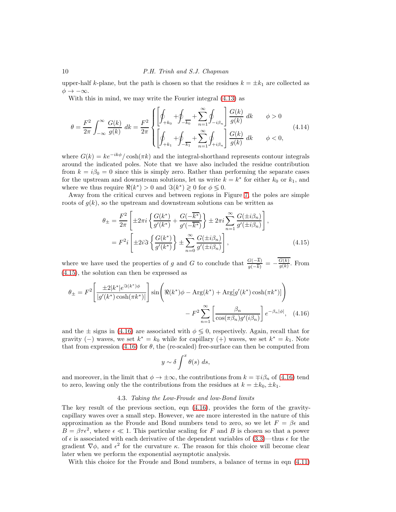upper-half k-plane, but the path is chosen so that the residues  $k = \pm k_1$  are collected as  $\phi \rightarrow -\infty$ .

With this in mind, we may write the Fourier integral [\(4.13\)](#page-8-0) as

$$
\theta = \frac{F^2}{2\pi} \int_{-\infty}^{\infty} \frac{G(k)}{g(k)} dk = \frac{F^2}{2\pi} \begin{cases} \left[ \oint_{+k_0} + \oint_{-\overline{k_0}} + \sum_{n=1}^{\infty} \oint_{-i\beta_n} \right] \frac{G(k)}{g(k)} dk & \phi > 0\\ \left[ \oint_{+k_1} + \oint_{-\overline{k_1}} + \sum_{n=1}^{\infty} \oint_{+i\beta_n} \right] \frac{G(k)}{g(k)} dk & \phi < 0, \end{cases}
$$
(4.14)

where  $G(k) = ke^{-ik\phi}/\cosh(\pi k)$  and the integral-shorthand represents contour integrals around the indicated poles. Note that we have also included the residue contribution from  $k = i\beta_0 = 0$  since this is simply zero. Rather than performing the separate cases for the upstream and downstream solutions, let us write  $k = k^*$  for either  $k_0$  or  $k_1$ , and where we thus require  $\Re(k^*) > 0$  and  $\Im(k^*) \ge 0$  for  $\phi \le 0$ .

Away from the critical curves and between regions in Figure [7,](#page-21-2) the poles are simple roots of  $g(k)$ , so the upstream and downstream solutions can be written as

$$
\theta_{\pm} = \frac{F^2}{2\pi} \left[ \pm 2\pi i \left\{ \frac{G(k^*)}{g'(k^*)} + \frac{G(-\overline{k^*})}{g'(-\overline{k^*})} \right\} \pm 2\pi i \sum_{n=1}^{\infty} \frac{G(\pm i\beta_n)}{g'(\pm i\beta_n)} \right],
$$
  
=  $F^2 i \left[ \pm 2i \Im \left\{ \frac{G(k^*)}{g'(k^*)} \right\} \pm \sum_{n=0}^{\infty} \frac{G(\pm i\beta_n)}{g'(\pm i\beta_n)} \right],$  (4.15)

where we have used the properties of g and G to conclude that  $\frac{G(-k)}{g(-\overline{k})} = -\frac{G(k)}{g(k)}$  $\frac{G(\kappa)}{g(k)}$ . From [\(4.15\)](#page-9-0), the solution can then be expressed as

$$
\theta_{\pm} = F^2 \left[ \frac{\pm 2|k^*|e^{\Im(k^*)\phi}}{|g'(k^*)\cosh(\pi k^*)|} \right] \sin \left( \Re(k^*)\phi - \text{Arg}(k^*) + \text{Arg}[g'(k^*)\cosh(\pi k^*)] \right) - F^2 \sum_{n=1}^{\infty} \left[ \frac{\beta_n}{\cos(\pi \beta_n)g'(i\beta_n)} \right] e^{-\beta_n |\phi|}, \quad (4.16)
$$

and the  $\pm$  signs in [\(4.16\)](#page-9-1) are associated with  $\phi \leq 0$ , respectively. Again, recall that for gravity (−) waves, we set  $k^* = k_0$  while for capillary (+) waves, we set  $k^* = k_1$ . Note that from expression [\(4.16\)](#page-9-1) for  $\theta$ , the (re-scaled) free-surface can then be computed from

<span id="page-9-1"></span><span id="page-9-0"></span>
$$
y \sim \delta \int^x \theta(s) \ ds,
$$

<span id="page-9-2"></span>and moreover, in the limit that  $\phi \to \pm \infty$ , the contributions from  $k = \mp i \beta_n$  of [\(4.16\)](#page-9-1) tend to zero, leaving only the the contributions from the residues at  $k = \pm k_0, \pm k_1$ .

#### 4.3. Taking the Low-Froude and low-Bond limits

The key result of the previous section, eqn [\(4.16\)](#page-9-1), provides the form of the gravitycapillary waves over a small step. However, we are more interested in the nature of this approximation as the Froude and Bond numbers tend to zero, so we let  $F = \beta \epsilon$  and  $B = \beta \tau \epsilon^2$ , where  $\epsilon \ll 1$ . This particular scaling for F and B is chosen so that a power of  $\epsilon$  is associated with each derivative of the dependent variables of [\(3.3\)](#page-5-2)—thus  $\epsilon$  for the gradient  $\nabla \phi$ , and  $\epsilon^2$  for the curvature  $\kappa$ . The reason for this choice will become clear later when we perform the exponential asymptotic analysis.

With this choice for the Froude and Bond numbers, a balance of terms in eqn [\(4.11\)](#page-7-4)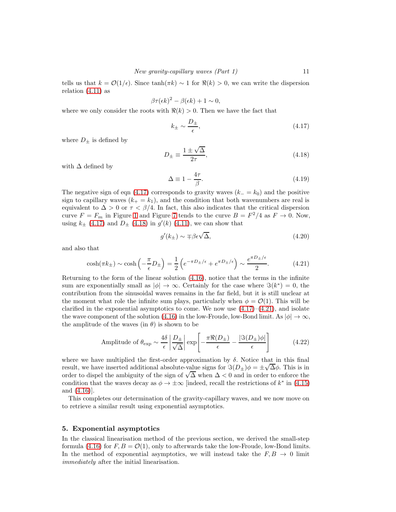tells us that  $k = \mathcal{O}(1/\epsilon)$ . Since tanh( $\pi k$ ) ~ 1 for  $\Re(k) > 0$ , we can write the dispersion relation [\(4.11\)](#page-7-4) as

$$
\beta \tau(\epsilon k)^2 - \beta(\epsilon k) + 1 \sim 0,
$$

where we only consider the roots with  $\Re(k) > 0$ . Then we have the fact that

<span id="page-10-1"></span>
$$
k_{\pm} \sim \frac{D_{\pm}}{\epsilon},\tag{4.17}
$$

where  $D_{\pm}$  is defined by

<span id="page-10-2"></span>
$$
D_{\pm} \equiv \frac{1 \pm \sqrt{\Delta}}{2\tau},\tag{4.18}
$$

with  $\Delta$  defined by

<span id="page-10-4"></span>
$$
\Delta \equiv 1 - \frac{4\tau}{\beta}.\tag{4.19}
$$

The negative sign of eqn [\(4.17\)](#page-10-1) corresponds to gravity waves  $(k_ - = k_0)$  and the positive sign to capillary waves  $(k_{+} = k_1)$ , and the condition that both wavenumbers are real is equivalent to  $\Delta > 0$  or  $\tau < \beta/4$ . In fact, this also indicates that the critical dispersion curve  $F = F_m$  in Figure [1](#page-1-0) and Figure [7](#page-21-2) tends to the curve  $B = F^2/4$  as  $F \to 0$ . Now, using  $k_{\pm}$  [\(4.17\)](#page-10-1) and  $D_{\pm}$  [\(4.18\)](#page-10-2) in  $g'(k)$  [\(4.11\)](#page-7-4), we can show that

$$
g'(k_{\pm}) \sim \pm \beta \epsilon \sqrt{\Delta}, \qquad (4.20)
$$

and also that

<span id="page-10-3"></span>
$$
\cosh(\pi k_{\pm}) \sim \cosh\left(-\frac{\pi}{\epsilon}D_{\pm}\right) = \frac{1}{2}\left(e^{-\pi D_{\pm}/\epsilon} + e^{\pi D_{\pm}/\epsilon}\right) \sim \frac{e^{\pi D_{\pm}/\epsilon}}{2}.\tag{4.21}
$$

Returning to the form of the linear solution [\(4.16\)](#page-9-1), notice that the terms in the infinite sum are exponentially small as  $|\phi| \to \infty$ . Certainly for the case where  $\Im(k^*) = 0$ , the contribution from the sinusoidal waves remains in the far field, but it is still unclear at the moment what role the infinite sum plays, particularly when  $\phi = \mathcal{O}(1)$ . This will be clarified in the exponential asymptotics to come. We now use  $(4.17)$ – $(4.21)$ , and isolate the wave component of the solution [\(4.16\)](#page-9-1) in the low-Froude, low-Bond limit. As  $|\phi| \to \infty$ , the amplitude of the waves (in  $\theta$ ) is shown to be

<span id="page-10-5"></span>Amplitude of 
$$
\theta_{\exp} \sim \frac{4\delta}{\epsilon} \left| \frac{D_{\pm}}{\sqrt{\Delta}} \right| \exp \left[ -\frac{\pi \Re(D_{\pm})}{\epsilon} - \frac{|\Im(D_{\pm})\phi|}{\epsilon} \right]
$$
 (4.22)

where we have multiplied the first-order approximation by  $\delta$ . Notice that in this final result, we have inserted additional absolute-value signs for  $\Im(D_{\pm})\phi = \pm \sqrt{\Delta}\phi$ . This is in order to dispel the ambiguity of the sign of  $\sqrt{\Delta}$  when  $\Delta < 0$  and in order to enforce the condition that the waves decay as  $\phi \to \pm \infty$  [indeed, recall the restrictions of  $k^*$  in [\(4.15\)](#page-9-0) and [\(4.16\)](#page-9-1)].

This completes our determination of the gravity-capillary waves, and we now move on to retrieve a similar result using exponential asymptotics.

#### <span id="page-10-0"></span>5. Exponential asymptotics

In the classical linearisation method of the previous section, we derived the small-step formula [\(4.16\)](#page-9-1) for  $F, B = \mathcal{O}(1)$ , only to afterwards take the low-Froude, low-Bond limits. In the method of exponential asymptotics, we will instead take the  $F, B \rightarrow 0$  limit immediately after the initial linearisation.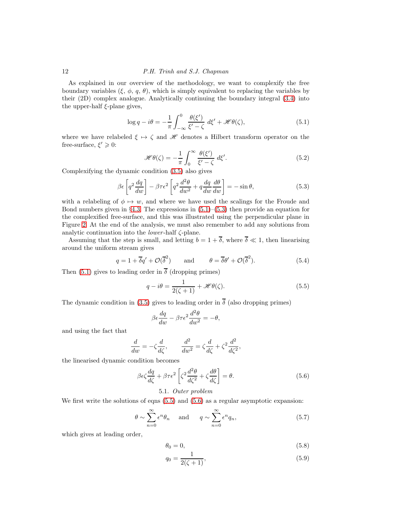As explained in our overview of the methodology, we want to complexify the free boundary variables  $(\xi, \phi, q, \theta)$ , which is simply equivalent to replacing the variables by their (2D) complex analogue. Analytically continuing the boundary integral [\(3.4\)](#page-6-1) into the upper-half  $\xi$ -plane gives,

$$
\log q - i\theta = -\frac{1}{\pi} \int_{-\infty}^{0} \frac{\theta(\xi')}{\xi' - \zeta} d\xi' + \mathcal{H}\theta(\zeta),\tag{5.1}
$$

where we have relabeled  $\xi \mapsto \zeta$  and H denotes a Hilbert transform operator on the free-surface,  $\xi' \geqslant 0$ :

$$
\mathcal{H}\theta(\zeta) = -\frac{1}{\pi} \int_0^\infty \frac{\theta(\xi')}{\xi' - \zeta} d\xi'.\tag{5.2}
$$

Complexifying the dynamic condition [\(3.5\)](#page-6-2) also gives

$$
\beta \epsilon \left[ q^2 \frac{dq}{dw} \right] - \beta \tau \epsilon^2 \left[ q^2 \frac{d^2 \theta}{dw^2} + q \frac{dq}{dw} \frac{d\theta}{dw} \right] = -\sin \theta, \tag{5.3}
$$

with a relabeling of  $\phi \mapsto w$ , and where we have used the scalings for the Froude and Bond numbers given in §[4.3.](#page-9-2) The expressions in  $(5.1)$ – $(5.3)$  then provide an equation for the complexified free-surface, and this was illustrated using the perpendicular plane in Figure [2.](#page-4-0) At the end of the analysis, we must also remember to add any solutions from analytic continuation into the *lower*-half  $\zeta$ -plane.

Assuming that the step is small, and letting  $b = 1 + \overline{\delta}$ , where  $\overline{\delta} \ll 1$ , then linearising around the uniform stream gives

<span id="page-11-5"></span>
$$
q = 1 + \overline{\delta}q' + \mathcal{O}(\overline{\delta}^2) \quad \text{and} \quad \theta = \overline{\delta}\theta' + \mathcal{O}(\overline{\delta}^2). \tag{5.4}
$$

Then [\(5.1\)](#page-18-0) gives to leading order in  $\overline{\delta}$  (dropping primes)

<span id="page-11-0"></span>
$$
q - i\theta = \frac{1}{2(\zeta + 1)} + \mathcal{H}\theta(\zeta).
$$
 (5.5)

The dynamic condition in [\(3.5\)](#page-6-2) gives to leading order in  $\overline{\delta}$  (also dropping primes)

$$
\beta \epsilon \frac{dq}{dw} - \beta \tau \epsilon^2 \frac{d^2 \theta}{dw^2} = -\theta,
$$

and using the fact that

$$
\frac{d}{dw}=-\zeta\frac{d}{d\zeta},\qquad \frac{d^2}{dw^2}=\zeta\frac{d}{d\zeta}+\zeta^2\frac{d^2}{d\zeta^2},
$$

the linearised dynamic condition becomes

<span id="page-11-1"></span>
$$
\beta \epsilon \zeta \frac{dq}{d\zeta} + \beta \tau \epsilon^2 \left[ \zeta^2 \frac{d^2 \theta}{d\zeta^2} + \zeta \frac{d\theta}{d\zeta} \right] = \theta. \tag{5.6}
$$

## 5.1. Outer problem

<span id="page-11-4"></span>We first write the solutions of eqns  $(5.5)$  and  $(5.6)$  as a regular asymptotic expansion:

<span id="page-11-3"></span>
$$
\theta \sim \sum_{n=0}^{\infty} \epsilon^n \theta_n
$$
 and  $q \sim \sum_{n=0}^{\infty} \epsilon^n q_n$ , (5.7)

which gives at leading order,

<span id="page-11-2"></span>
$$
\theta_0 = 0,\tag{5.8}
$$

$$
q_0 = \frac{1}{2(\zeta + 1)},\tag{5.9}
$$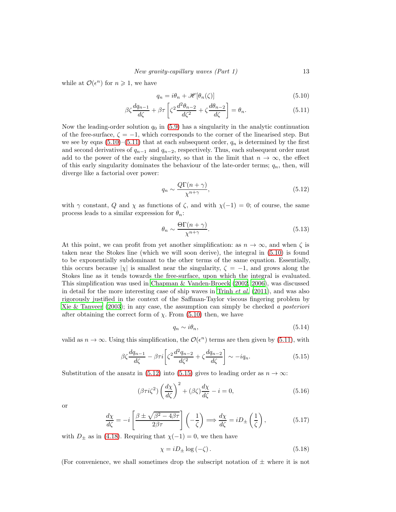while at  $\mathcal{O}(\epsilon^n)$  for  $n \geq 1$ , we have

<span id="page-12-1"></span><span id="page-12-0"></span>
$$
q_n = i\theta_n + \mathcal{H}[\theta_n(\zeta)] \tag{5.10}
$$

$$
\beta \zeta \frac{dq_{n-1}}{d\zeta} + \beta \tau \left[ \zeta^2 \frac{d^2 \theta_{n-2}}{d\zeta^2} + \zeta \frac{d\theta_{n-2}}{d\zeta} \right] = \theta_n. \tag{5.11}
$$

Now the leading-order solution  $q_0$  in [\(5.9\)](#page-11-2) has a singularity in the analytic continuation of the free-surface,  $\zeta = -1$ , which corresponds to the corner of the linearised step. But we see by eqns  $(5.10)$ – $(5.11)$  that at each subsequent order,  $q_n$  is determined by the first and second derivatives of  $q_{n-1}$  and  $q_{n-2}$ , respectively. Thus, each subsequent order must add to the power of the early singularity, so that in the limit that  $n \to \infty$ , the effect of this early singularity dominates the behaviour of the late-order terms;  $q_n$ , then, will diverge like a factorial over power:

<span id="page-12-2"></span>
$$
q_n \sim \frac{Q\Gamma(n+\gamma)}{\chi^{n+\gamma}},\tag{5.12}
$$

with  $\gamma$  constant, Q and  $\chi$  as functions of  $\zeta$ , and with  $\chi(-1) = 0$ ; of course, the same process leads to a similar expression for  $\theta_n$ :

<span id="page-12-5"></span>
$$
\theta_n \sim \frac{\Theta \Gamma(n+\gamma)}{\chi^{n+\gamma}}.\tag{5.13}
$$

At this point, we can profit from yet another simplification: as  $n \to \infty$ , and when  $\zeta$  is taken near the Stokes line (which we will soon derive), the integral in [\(5.10\)](#page-12-0) is found to be exponentially subdominant to the other terms of the same equation. Essentially, this occurs because  $|\chi|$  is smallest near the singularity,  $\zeta = -1$ , and grows along the Stokes line as it tends towards the free-surface, upon which the integral is evaluated. This simplification was used in [Chapman & Vanden-Broeck \(2002](#page-22-16), [2006](#page-22-17)), was discussed in detail for the more interesting case of ship waves in [Trinh](#page-23-10)  $et$  al. [\(2011](#page-23-10)), and was also rigorously justified in the context of the Saffman-Taylor viscous fingering problem by Xie & Tanveer  $(2003)$ ; in any case, the assumption can simply be checked a posteriori after obtaining the correct form of  $\chi$ . From [\(5.10\)](#page-12-0) then, we have

<span id="page-12-6"></span>
$$
q_n \sim i\theta_n,\tag{5.14}
$$

valid as  $n \to \infty$ . Using this simplification, the  $\mathcal{O}(\epsilon^n)$  terms are then given by [\(5.11\)](#page-12-1), with

<span id="page-12-3"></span>
$$
\beta \zeta \frac{dq_{n-1}}{d\zeta} - \beta \tau i \left[ \zeta^2 \frac{d^2 q_{n-2}}{d\zeta^2} + \zeta \frac{dq_{n-2}}{d\zeta} \right] \sim -iq_n. \tag{5.15}
$$

Substitution of the ansatz in [\(5.12\)](#page-12-2) into [\(5.15\)](#page-12-3) gives to leading order as  $n \to \infty$ :

<span id="page-12-7"></span>
$$
(\beta \tau i \zeta^2) \left(\frac{d\chi}{d\zeta}\right)^2 + (\beta \zeta) \frac{d\chi}{d\zeta} - i = 0,
$$
\n(5.16)

or

$$
\frac{d\chi}{d\zeta} = -i \left[ \frac{\beta \pm \sqrt{\beta^2 - 4\beta\tau}}{2\beta\tau} \right] \left( -\frac{1}{\zeta} \right) \Longrightarrow \frac{d\chi}{d\zeta} = i D_{\pm} \left( \frac{1}{\zeta} \right),\tag{5.17}
$$

with  $D_{\pm}$  as in [\(4.18\)](#page-10-2). Requiring that  $\chi(-1) = 0$ , we then have

<span id="page-12-4"></span>
$$
\chi = iD_{\pm} \log \left( -\zeta \right). \tag{5.18}
$$

(For convenience, we shall sometimes drop the subscript notation of  $\pm$  where it is not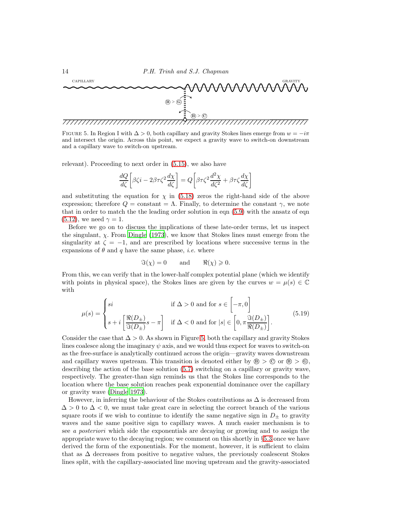

<span id="page-13-0"></span>FIGURE 5. In Region I with  $\Delta > 0$ , both capillary and gravity Stokes lines emerge from  $w = -i\pi$ and intersect the origin. Across this point, we expect a gravity wave to switch-on downstream and a capillary wave to switch-on upstream.

relevant). Proceeding to next order in [\(5.15\)](#page-12-3), we also have

$$
\frac{dQ}{d\zeta} \left[ \beta \zeta i - 2\beta \tau \zeta^2 \frac{d\chi}{d\zeta} \right] = Q \left[ \beta \tau \zeta^2 \frac{d^2 \chi}{d\zeta^2} + \beta \tau \zeta \frac{d\chi}{d\zeta} \right]
$$

and substituting the equation for  $\chi$  in [\(5.18\)](#page-12-4) zeros the right-hand side of the above expression; therefore  $Q = \text{constant} = \Lambda$ . Finally, to determine the constant  $\gamma$ , we note that in order to match the the leading order solution in eqn [\(5.9\)](#page-11-2) with the ansatz of eqn  $(5.12)$ , we need  $\gamma = 1$ .

Before we go on to discuss the implications of these late-order terms, let us inspect the singulant,  $\chi$ . From [Dingle \(1973\)](#page-22-14), we know that Stokes lines must emerge from the singularity at  $\zeta = -1$ , and are prescribed by locations where successive terms in the expansions of  $\theta$  and q have the same phase, *i.e.* where

$$
\Im(\chi) = 0 \quad \text{and} \quad \Re(\chi) \geq 0.
$$

From this, we can verify that in the lower-half complex potential plane (which we identify with points in physical space), the Stokes lines are given by the curves  $w = \mu(s) \in \mathbb{C}$ with

$$
\mu(s) = \begin{cases} si & \text{if } \Delta > 0 \text{ and for } s \in \left[ -\pi, 0 \right] \\ s + i \left[ \frac{\Re(D_\pm)}{\Im(D_\pm)} s - \pi \right] & \text{if } \Delta < 0 \text{ and for } |s| \in \left[ 0, \pi \frac{\Im(D_\pm)}{\Re(D_\pm)} \right]. \end{cases}
$$
(5.19)

Consider the case that  $\Delta > 0$ . As shown in Figure [5,](#page-13-0) both the capillary and gravity Stokes lines coalesce along the imaginary  $\psi$  axis, and we would thus expect for waves to switch-on as the free-surface is analytically continued across the origin—gravity waves downstream and capillary waves upstream. This transition is denoted either by  $\mathcal{B} > \mathcal{C}$  or  $\mathcal{B} > \mathcal{C}$ , describing the action of the base solution [\(5.7\)](#page-11-3) switching on a capillary or gravity wave, respectively. The greater-than sign reminds us that the Stokes line corresponds to the location where the base solution reaches peak exponential dominance over the capillary or gravity wave [\(Dingle 1973\)](#page-22-14).

However, in inferring the behaviour of the Stokes contributions as  $\Delta$  is decreased from  $\Delta > 0$  to  $\Delta < 0$ , we must take great care in selecting the correct branch of the various square roots if we wish to continue to identify the same negative sign in  $D_{\pm}$  to gravity waves and the same positive sign to capillary waves. A much easier mechanism is to see a posteriori which side the exponentials are decaying or growing and to assign the appropriate wave to the decaying region; we comment on this shortly in §[5.3](#page-17-0) once we have derived the form of the exponentials. For the moment, however, it is sufficient to claim that as  $\Delta$  decreases from positive to negative values, the previously coalescent Stokes lines split, with the capillary-associated line moving upstream and the gravity-associated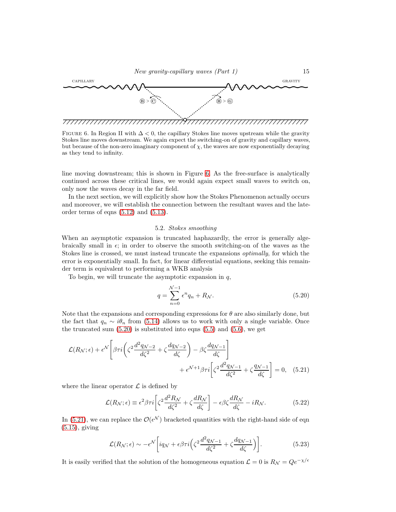

<span id="page-14-0"></span>FIGURE 6. In Region II with  $\Delta < 0$ , the capillary Stokes line moves upstream while the gravity Stokes line moves downstream. We again expect the switching-on of gravity and capillary waves, but because of the non-zero imaginary component of  $\chi$ , the waves are now exponentially decaying as they tend to infinity.

line moving downstream; this is shown in Figure [6.](#page-14-0) As the free-surface is analytically continued across these critical lines, we would again expect small waves to switch on, only now the waves decay in the far field.

In the next section, we will explicitly show how the Stokes Phenomenon actually occurs and moreover, we will establish the connection between the resultant waves and the lateorder terms of eqns  $(5.12)$  and  $(5.13)$ .

#### 5.2. Stokes smoothing

When an asymptotic expansion is truncated haphazardly, the error is generally algebraically small in  $\epsilon$ ; in order to observe the smooth switching-on of the waves as the Stokes line is crossed, we must instead truncate the expansions optimally, for which the error is exponentially small. In fact, for linear differential equations, seeking this remainder term is equivalent to performing a WKB analysis

To begin, we will truncate the asymptotic expansion in  $q$ ,

<span id="page-14-2"></span><span id="page-14-1"></span>
$$
q = \sum_{n=0}^{N-1} \epsilon^n q_n + R_N. \tag{5.20}
$$

Note that the expansions and corresponding expressions for  $\theta$  are also similarly done, but the fact that  $q_n \sim i\theta_n$  from [\(5.14\)](#page-12-6) allows us to work with only a single variable. Once the truncated sum  $(5.20)$  is substituted into eqns  $(5.5)$  and  $(5.6)$ , we get

$$
\mathcal{L}(R_{\mathcal{N}}; \epsilon) + \epsilon^{\mathcal{N}} \left[ \beta \tau i \left( \zeta^2 \frac{d^2 q_{\mathcal{N}-2}}{d \zeta^2} + \zeta \frac{dq_{\mathcal{N}-2}}{d \zeta} \right) - \beta \zeta \frac{dq_{\mathcal{N}-1}}{d \zeta} \right] + \epsilon^{\mathcal{N}+1} \beta \tau i \left[ \zeta^2 \frac{d^2 q_{\mathcal{N}-1}}{d \zeta^2} + \zeta \frac{q_{\mathcal{N}-1}}{d \zeta} \right] = 0, \quad (5.21)
$$

where the linear operator  $\mathcal L$  is defined by

$$
\mathcal{L}(R_{\mathcal{N}};\epsilon) \equiv \epsilon^2 \beta \tau i \left[ \zeta^2 \frac{d^2 R_{\mathcal{N}}}{d\zeta^2} + \zeta \frac{dR_{\mathcal{N}}}{d\zeta} \right] - \epsilon \beta \zeta \frac{dR_{\mathcal{N}}}{d\zeta} - iR_{\mathcal{N}}.\tag{5.22}
$$

In [\(5.21\)](#page-14-2), we can replace the  $\mathcal{O}(\epsilon^{\mathcal{N}})$  bracketed quantities with the right-hand side of eqn [\(5.15\)](#page-12-3), giving

<span id="page-14-3"></span>
$$
\mathcal{L}(R_{\mathcal{N}};\epsilon) \sim -\epsilon^{\mathcal{N}} \bigg[ i q_{\mathcal{N}} + \epsilon \beta \tau i \Big( \zeta^2 \frac{d^2 q_{\mathcal{N}-1}}{d\zeta^2} + \zeta \frac{dq_{\mathcal{N}-1}}{d\zeta} \Big) \bigg]. \tag{5.23}
$$

It is easily verified that the solution of the homogeneous equation  $\mathcal{L} = 0$  is  $R_N = Qe^{-\chi/\epsilon}$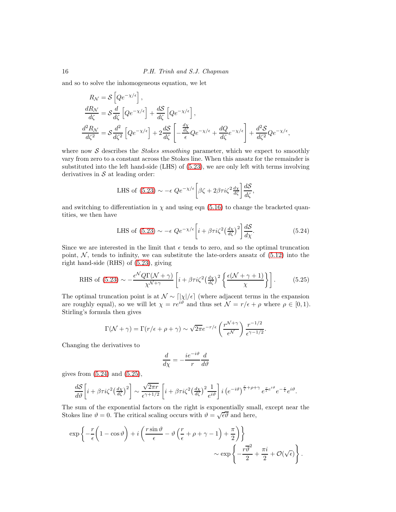and so to solve the inhomogeneous equation, we let

$$
R_{\mathcal{N}} = \mathcal{S} \left[ Q e^{-\chi/\epsilon} \right],
$$
  
\n
$$
\frac{dR_{\mathcal{N}}}{d\zeta} = \mathcal{S} \frac{d}{d\zeta} \left[ Q e^{-\chi/\epsilon} \right] + \frac{d\mathcal{S}}{d\zeta} \left[ Q e^{-\chi/\epsilon} \right],
$$
  
\n
$$
\frac{d^2 R_{\mathcal{N}}}{d\zeta^2} = \mathcal{S} \frac{d^2}{d\zeta^2} \left[ Q e^{-\chi/\epsilon} \right] + 2 \frac{d\mathcal{S}}{d\zeta} \left[ -\frac{\frac{d\chi}{d\zeta}}{\epsilon} Q e^{-\chi/\epsilon} + \frac{dQ}{d\zeta} e^{-\chi/\epsilon} \right] + \frac{d^2 \mathcal{S}}{d\zeta^2} Q e^{-\chi/\epsilon},
$$

where now  $S$  describes the *Stokes smoothing* parameter, which we expect to smoothly vary from zero to a constant across the Stokes line. When this ansatz for the remainder is substituted into the left hand-side (LHS) of [\(5.23\)](#page-14-3), we are only left with terms involving derivatives in  $S$  at leading order:

LHS of (5.23) 
$$
\sim -\epsilon Q e^{-\chi/\epsilon} \left[ \beta \zeta + 2\beta \tau i \zeta^2 \frac{d\chi}{d\zeta} \right] \frac{dS}{d\zeta},
$$

and switching to differentiation in  $\chi$  and using eqn [\(5.16\)](#page-12-7) to change the bracketed quantities, we then have

<span id="page-15-0"></span>LHS of (5.23) 
$$
\sim -\epsilon Q e^{-\chi/\epsilon} \left[ i + \beta \tau i \zeta^2 \left( \frac{d\chi}{d\zeta} \right)^2 \right] \frac{dS}{d\chi}.
$$
 (5.24)

Since we are interested in the limit that  $\epsilon$  tends to zero, and so the optimal truncation point,  $N$ , tends to infinity, we can substitute the late-orders ansatz of  $(5.12)$  into the right hand-side (RHS) of [\(5.23\)](#page-14-3), giving

<span id="page-15-1"></span>RHS of (5.23) 
$$
\sim -\frac{\epsilon^{\mathcal{N}}Q\Gamma(\mathcal{N}+\gamma)}{\chi^{\mathcal{N}+\gamma}} \left[i+\beta\tau i\zeta^2\left(\frac{d\chi}{d\zeta}\right)^2 \left\{\frac{\epsilon(\mathcal{N}+\gamma+1)}{\chi}\right\}\right].
$$
 (5.25)

The optimal truncation point is at  $\mathcal{N} \sim \lceil |\chi| / \epsilon \rceil$  (where adjacent terms in the expansion are roughly equal), so we will let  $\chi = re^{i\vartheta}$  and thus set  $\mathcal{N} = r/\epsilon + \rho$  where  $\rho \in [0,1)$ . Stirling's formula then gives

$$
\Gamma(\mathcal{N} + \gamma) = \Gamma(r/\epsilon + \rho + \gamma) \sim \sqrt{2\pi}e^{-r/\epsilon} \left(\frac{r^{\mathcal{N} + \gamma}}{\epsilon^{\mathcal{N}}}\right) \frac{r^{-1/2}}{\epsilon^{\gamma - 1/2}}.
$$

Changing the derivatives to

$$
\frac{d}{d\chi}=-\frac{ie^{-i\vartheta}}{r}\frac{d}{d\vartheta}
$$

gives from  $(5.24)$  and  $(5.25)$ ,

$$
\frac{dS}{d\vartheta}\left[i + \beta\tau i\zeta^2 \left(\frac{d\chi}{d\zeta}\right)^2\right] \sim \frac{\sqrt{2\pi r}}{\epsilon^{\gamma + 1/2}} \left[i + \beta\tau i\zeta^2 \left(\frac{d\chi}{d\zeta}\right)^2 \frac{1}{e^{i\vartheta}}\right] i \left(e^{-i\vartheta}\right)^{\frac{r}{\epsilon} + \rho + \gamma} e^{\frac{r}{\epsilon}e^{i\vartheta}} e^{-\frac{r}{\epsilon}} e^{i\vartheta}.
$$

The sum of the exponential factors on the right is exponentially small, except near the Stokes line  $\vartheta = 0$ . The critical scaling occurs with  $\vartheta = \sqrt{\epsilon \vartheta}$  and here,

$$
\exp\left\{-\frac{r}{\epsilon}\left(1-\cos\vartheta\right)+i\left(\frac{r\sin\vartheta}{\epsilon}-\vartheta\left(\frac{r}{\epsilon}+\rho+\gamma-1\right)+\frac{\pi}{2}\right)\right\}\n\sim \exp\left\{-\frac{r\overline{\vartheta}^2}{2}+\frac{\pi i}{2}+\mathcal{O}(\sqrt{\epsilon})\right\}.
$$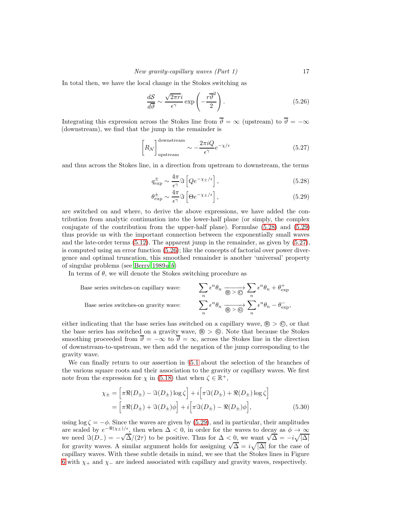In total then, we have the local change in the Stokes switching as

<span id="page-16-2"></span>
$$
\frac{dS}{d\overline{\vartheta}} \sim \frac{\sqrt{2\pi r}i}{\epsilon^{\gamma}} \exp\left(-\frac{r\overline{\vartheta}^{2}}{2}\right).
$$
 (5.26)

Integrating this expression across the Stokes line from  $\overline{\vartheta} = \infty$  (upstream) to  $\overline{\vartheta} = -\infty$ (downstream), we find that the jump in the remainder is

<span id="page-16-1"></span>
$$
\left[R_{\mathcal{N}}\right]_{\text{upstream}}^{\text{downstream}} \sim -\frac{2\pi i Q}{\epsilon^{\gamma}} e^{-\chi/\epsilon} \tag{5.27}
$$

and thus across the Stokes line, in a direction from upstream to downstream, the terms

<span id="page-16-0"></span>
$$
q_{\exp}^{\pm} \sim \frac{4\pi}{\epsilon^{\gamma}} \Im \left[ Q e^{-\chi_{\pm}/\epsilon} \right],\tag{5.28}
$$

$$
\theta_{\exp}^{\pm} \sim \frac{4\pi}{\epsilon^{\gamma}} \Im \left[ \Theta e^{-\chi_{\pm}/\epsilon} \right],\tag{5.29}
$$

are switched on and where, to derive the above expressions, we have added the contribution from analytic continuation into the lower-half plane (or simply, the complex conjugate of the contribution from the upper-half plane). Formulae [\(5.28\)](#page-16-0) and [\(5.29\)](#page-16-0) thus provide us with the important connection between the exponentially small waves and the late-order terms [\(5.12\)](#page-12-2). The apparent jump in the remainder, as given by [\(5.27\)](#page-16-1), is computed using an error function [\(5.26\)](#page-16-2); like the concepts of factorial over power divergence and optimal truncation, this smoothed remainder is another 'universal' property of singular pro[b](#page-22-27)lems (see Berry  $1989a,b$ )

In terms of  $\theta$ , we will denote the Stokes switching procedure as

Base series switches-on capillary wave: 
$$
\sum_{n} \epsilon^{n} \theta_{n} \xrightarrow[\text{Base series switches-on gravity wave:}
$$

$$
\sum_{n} \epsilon^{n} \theta_{n} \xrightarrow[\text{Bose}]{} \sum_{n} \epsilon^{n} \theta_{n} \xrightarrow[\text{Bose}]{} \sum_{n} \epsilon^{n} \theta_{n} - \theta_{\text{exp}}^{-},
$$

either indicating that the base series has switched on a capillary wave,  $\mathcal{B} > \mathcal{O}$ , or that the base series has switched on a gravity wave,  $\mathcal{B} > \mathcal{C}$ . Note that because the Stokes smoothing proceeded from  $\overline{\vartheta} = -\infty$  to  $\overline{\vartheta} = \infty$ , across the Stokes line in the direction of downstream-to-upstream, we then add the negation of the jump corresponding to the gravity wave.

We can finally return to our assertion in §[5.1](#page-11-4) about the selection of the branches of the various square roots and their association to the gravity or capillary waves. We first note from the expression for  $\chi$  in [\(5.18\)](#page-12-4) that when  $\zeta \in \mathbb{R}^+$ ,

<span id="page-16-3"></span>
$$
\chi_{\pm} = \left[ \pi \Re(D_{\pm}) - \Im(D_{\pm}) \log \zeta \right] + i \left[ \pi \Im(D_{\pm}) + \Re(D_{\pm}) \log \zeta \right]
$$

$$
= \left[ \pi \Re(D_{\pm}) + \Im(D_{\pm}) \phi \right] + i \left[ \pi \Im(D_{\pm}) - \Re(D_{\pm}) \phi \right], \tag{5.30}
$$

using  $\log \zeta = -\phi$ . Since the waves are given by [\(5.29\)](#page-16-0), and in particular, their amplitudes are scaled by  $e^{-\Re(\chi_{\pm})/\epsilon}$ , then when  $\Delta < 0$ , in order for the waves to decay as  $\phi \to \infty$ we need  $\Im(D_-) = -\sqrt{\Delta}/(2\tau)$  to be positive. Thus for  $\Delta < 0$ , we want  $\sqrt{\Delta} = -i\sqrt{|\Delta|}$ for gravity waves. A similar argument holds for assigning  $\sqrt{\Delta} = i \sqrt{|\Delta|}$  for the case of capillary waves. With these subtle details in mind, we see that the Stokes lines in Figure [6](#page-14-0) with  $\chi$  + and  $\chi$  – are indeed associated with capillary and gravity waves, respectively.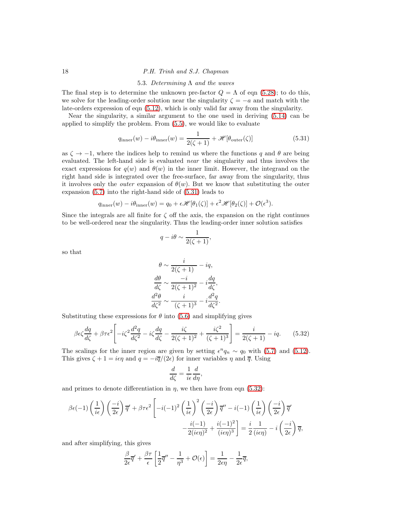### <span id="page-17-0"></span>18 P.H. Trinh and S.J. Chapman

#### 5.3. Determining  $Λ$  and the waves

The final step is to determine the unknown pre-factor  $Q = \Lambda$  of eqn [\(5.28\)](#page-16-0); to do this, we solve for the leading-order solution near the singularity  $\zeta = -a$  and match with the late-orders expression of eqn [\(5.12\)](#page-12-2), which is only valid far away from the singularity.

Near the singularity, a similar argument to the one used in deriving [\(5.14\)](#page-12-6) can be applied to simplify the problem. From [\(5.5\)](#page-11-0), we would like to evaluate

<span id="page-17-1"></span>
$$
q_{\text{inner}}(w) - i\theta_{\text{inner}}(w) = \frac{1}{2(\zeta + 1)} + \mathcal{H}[\theta_{\text{outer}}(\zeta)] \tag{5.31}
$$

as  $\zeta \to -1$ , where the indices help to remind us where the functions q and  $\theta$  are being evaluated. The left-hand side is evaluated near the singularity and thus involves the exact expressions for  $q(w)$  and  $\theta(w)$  in the inner limit. However, the integrand on the right hand side is integrated over the free-surface, far away from the singularity, thus it involves only the *outer* expansion of  $\theta(w)$ . But we know that substituting the outer expansion [\(5.7\)](#page-11-3) into the right-hand side of [\(5.31\)](#page-17-1) leads to

$$
q_{\text{inner}}(w) - i\theta_{\text{inner}}(w) = q_0 + \epsilon \mathscr{H}[\theta_1(\zeta)] + \epsilon^2 \mathscr{H}[\theta_2(\zeta)] + \mathcal{O}(\epsilon^3).
$$

Since the integrals are all finite for  $\zeta$  off the axis, the expansion on the right continues to be well-ordered near the singularity. Thus the leading-order inner solution satisfies

$$
q - i\theta \sim \frac{1}{2(\zeta + 1)},
$$

so that

$$
\theta \sim \frac{i}{2(\zeta + 1)} - iq,
$$
  
\n
$$
\frac{d\theta}{d\zeta} \sim \frac{-i}{2(\zeta + 1)^2} - i\frac{dq}{d\zeta},
$$
  
\n
$$
\frac{d^2\theta}{d\zeta^2} \sim \frac{i}{(\zeta + 1)^3} - i\frac{d^2q}{d\zeta^2}.
$$

Substituting these expressions for  $\theta$  into [\(5.6\)](#page-11-1) and simplifying gives

<span id="page-17-2"></span>
$$
\beta \epsilon \zeta \frac{dq}{d\zeta} + \beta \tau \epsilon^2 \left[ -i\zeta^2 \frac{d^2q}{d\zeta^2} - i\zeta \frac{dq}{d\zeta} - \frac{i\zeta}{2(\zeta+1)^2} + \frac{i\zeta^2}{(\zeta+1)^3} \right] = \frac{i}{2(\zeta+1)} - iq. \tag{5.32}
$$

The scalings for the inner region are given by setting  $\epsilon^n q_n \sim q_0$  with [\(5.7\)](#page-11-3) and [\(5.12\)](#page-12-2). This gives  $\zeta + 1 = i\epsilon \eta$  and  $q = -i\overline{q}/(2\epsilon)$  for inner variables  $\eta$  and  $\overline{q}$ . Using

$$
\frac{d}{d\zeta} = \frac{1}{i\epsilon} \frac{d}{d\eta},
$$

and primes to denote differentiation in  $\eta$ , we then have from eqn [\(5.32\)](#page-17-2):

$$
\beta \epsilon (-1) \left(\frac{1}{i\epsilon}\right) \left(\frac{-i}{2\epsilon}\right) \overline{q}' + \beta \tau \epsilon^2 \left[-i(-1)^2 \left(\frac{1}{i\epsilon}\right)^2 \left(\frac{-i}{2\epsilon}\right) \overline{q}'' - i(-1) \left(\frac{1}{i\epsilon}\right) \left(\frac{-i}{2\epsilon}\right) \overline{q}' - \frac{i(-1)}{2(i\epsilon)\tau^2} \right]
$$

$$
-\frac{i(-1)}{2(i\epsilon\eta)^2} + \frac{i(-1)^2}{(i\epsilon\eta)^3} \left[\frac{i}{2} - \frac{i}{2} \frac{1}{(i\epsilon\eta)} - i\left(\frac{-i}{2\epsilon}\right) \overline{q},\right]
$$

and after simplifying, this gives

$$
\frac{\beta}{2\epsilon}\overline{q}' + \frac{\beta\tau}{\epsilon}\left[\frac{1}{2}\overline{q}'' - \frac{1}{\eta^3} + \mathcal{O}(\epsilon)\right] = \frac{1}{2\epsilon\eta} - \frac{1}{2\epsilon}\overline{q},
$$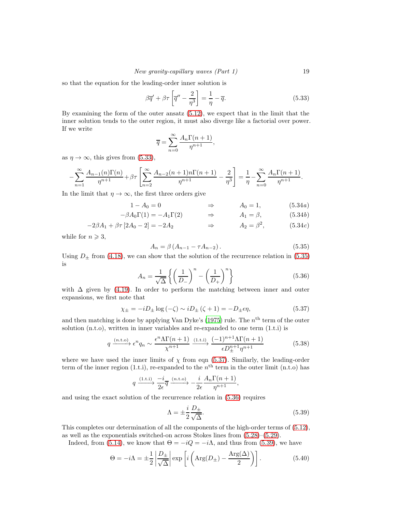so that the equation for the leading-order inner solution is

<span id="page-18-2"></span>
$$
\beta \overline{q}' + \beta \tau \left[ \overline{q}'' - \frac{2}{\eta^3} \right] = \frac{1}{\eta} - \overline{q}.
$$
 (5.33)

By examining the form of the outer ansatz [\(5.12\)](#page-12-2), we expect that in the limit that the inner solution tends to the outer region, it must also diverge like a factorial over power. If we write

$$
\overline{q} = \sum_{n=0}^{\infty} \frac{A_n \Gamma(n+1)}{\eta^{n+1}},
$$

as  $\eta \to \infty$ , this gives from [\(5.33\)](#page-18-2),

$$
-\sum_{n=1}^{\infty} \frac{A_{n-1}(n)\Gamma(n)}{\eta^{n+1}} + \beta \tau \left[ \sum_{n=2}^{\infty} \frac{A_{n-2}(n+1)n\Gamma(n+1)}{\eta^{n+1}} - \frac{2}{\eta^3} \right] = \frac{1}{\eta} - \sum_{n=0}^{\infty} \frac{A_n\Gamma(n+1)}{\eta^{n+1}}.
$$

In the limit that  $\eta \to \infty$ , the first three orders give

$$
1 - A_0 = 0 \qquad \qquad \Rightarrow \qquad A_0 = 1, \tag{5.34a}
$$

$$
-\beta A_0 \Gamma(1) = -A_1 \Gamma(2) \qquad \Rightarrow \qquad A_1 = \beta, \tag{5.34b}
$$

$$
-2\beta A_1 + \beta \tau [2A_0 - 2] = -2A_2 \qquad \Rightarrow \qquad A_2 = \beta^2, \qquad (5.34c)
$$

while for  $n \geqslant 3$ ,

<span id="page-18-3"></span><span id="page-18-1"></span><span id="page-18-0"></span>
$$
A_n = \beta \left( A_{n-1} - \tau A_{n-2} \right). \tag{5.35}
$$

Using  $D_{\pm}$  from [\(4.18\)](#page-10-2), we can show that the solution of the recurrence relation in [\(5.35\)](#page-18-3) is

<span id="page-18-5"></span>
$$
A_n = \frac{1}{\sqrt{\Delta}} \left\{ \left( \frac{1}{D_-} \right)^n - \left( \frac{1}{D_+} \right)^n \right\}
$$
 (5.36)

with  $\Delta$  given by [\(4.19\)](#page-10-4). In order to perform the matching between inner and outer expansions, we first note that

<span id="page-18-4"></span>
$$
\chi_{\pm} = -iD_{\pm}\log\left(-\zeta\right) \sim iD_{\pm}\left(\zeta + 1\right) = -D_{\pm}\epsilon\eta,\tag{5.37}
$$

and then matching is done by applying Van Dyke's [\(1975\)](#page-23-14) rule. The  $n<sup>th</sup>$  term of the outer solution (n.t.o), written in inner variables and re-expanded to one term (1.t.i) is

$$
q \xrightarrow{(n\text{t.o})} \epsilon^n q_n \sim \frac{\epsilon^n \Lambda \Gamma(n+1)}{\chi^{n+1}} \xrightarrow{(1\text{t.i})} \frac{(-1)^{n+1} \Lambda \Gamma(n+1)}{\epsilon D_{\pm}^{n+1} \eta^{n+1}} \tag{5.38}
$$

where we have used the inner limits of  $\chi$  from eqn [\(5.37\)](#page-18-4). Similarly, the leading-order term of the inner region (1.t.i), re-expanded to the  $n<sup>th</sup>$  term in the outer limit (n.t.o) has

$$
q \xrightarrow{(1.1.1)} \frac{-i}{2\epsilon} \overline{q} \xrightarrow{(n.1.0)} -\frac{i}{2\epsilon} \frac{A_n \Gamma(n+1)}{\eta^{n+1}},
$$

and using the exact solution of the recurrence relation in [\(5.36\)](#page-18-5) requires

<span id="page-18-6"></span>
$$
\Lambda = \pm \frac{i}{2} \frac{D_{\pm}}{\sqrt{\Delta}}.\tag{5.39}
$$

This completes our determination of all the components of the high-order terms of [\(5.12\)](#page-12-2), as well as the exponentials switched-on across Stokes lines from [\(5.28\)](#page-16-0)–[\(5.29\)](#page-16-0).

Indeed, from [\(5.14\)](#page-12-6), we know that  $\Theta = -iQ = -i\Lambda$ , and thus from [\(5.39\)](#page-18-6), we have

<span id="page-18-7"></span>
$$
\Theta = -i\Lambda = \pm \frac{1}{2} \left| \frac{D_{\pm}}{\sqrt{\Delta}} \right| \exp \left[ i \left( \text{Arg}(D_{\pm}) - \frac{\text{Arg}(\Delta)}{2} \right) \right]. \tag{5.40}
$$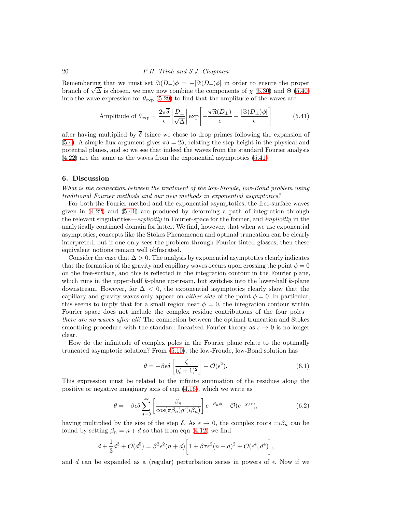#### 20 P.H. Trinh and S.J. Chapman

Remembering that we must set  $\Im(D_{\pm})\phi = -|\Im(D_{\pm})\phi|$  in order to ensure the proper branch of  $\sqrt{\Delta}$  is chosen, we may now combine the components of  $\chi$  [\(5.30\)](#page-16-3) and  $\Theta$  [\(5.40\)](#page-18-7) into the wave expression for  $\theta_{\text{exp}}$  [\(5.29\)](#page-16-0) to find that the amplitude of the waves are

<span id="page-19-0"></span>Amplitude of 
$$
\theta_{\exp} \sim \frac{2\pi\overline{\delta}}{\epsilon} \left| \frac{D_{\pm}}{\sqrt{\Delta}} \right| \exp \left[ -\frac{\pi\Re(D_{\pm})}{\epsilon} - \frac{|\Im(D_{\pm})\phi|}{\epsilon} \right]
$$
 (5.41)

after having multiplied by  $\delta$  (since we chose to drop primes following the expansion of [\(5.4\)](#page-11-5). A simple flux argument gives  $\pi\overline{\delta} = 2\delta$ , relating the step height in the physical and potential planes, and so we see that indeed the waves from the standard Fourier analysis [\(4.22\)](#page-10-5) are the same as the waves from the exponential asymptotics [\(5.41\)](#page-19-0).

#### 6. Discussion

What is the connection between the treatment of the low-Froude, low-Bond problem using traditional Fourier methods and our new methods in exponential asymptotics?

For both the Fourier method and the exponential asymptotics, the free-surface waves given in [\(4.22\)](#page-10-5) and [\(5.41\)](#page-19-0) are produced by deforming a path of integration through the relevant singularities—explicitly in Fourier-space for the former, and *implicitly* in the analytically continued domain for latter. We find, however, that when we use exponential asymptotics, concepts like the Stokes Phenomenon and optimal truncation can be clearly interpreted, but if one only sees the problem through Fourier-tinted glasses, then these equivalent notions remain well obfuscated.

Consider the case that  $\Delta > 0$ . The analysis by exponential asymptotics clearly indicates that the formation of the gravity and capillary waves occurs upon crossing the point  $\phi = 0$ on the free-surface, and this is reflected in the integration contour in the Fourier plane, which runs in the upper-half  $k$ -plane upstream, but switches into the lower-half  $k$ -plane downstream. However, for  $\Delta < 0$ , the exponential asymptotics clearly show that the capillary and gravity waves only appear on *either side* of the point  $\phi = 0$ . In particular, this seems to imply that for a small region near  $\phi = 0$ , the integration contour within Fourier space does not include the complex residue contributions of the four poles there are no waves after all! The connection between the optimal truncation and Stokes smoothing procedure with the standard linearised Fourier theory as  $\epsilon \to 0$  is no longer clear.

How do the infinitude of complex poles in the Fourier plane relate to the optimally truncated asymptotic solution? From [\(5.10\)](#page-12-0), the low-Froude, low-Bond solution has

<span id="page-19-2"></span>
$$
\theta = -\beta \epsilon \delta \left[ \frac{\zeta}{(\zeta + 1)^2} \right] + \mathcal{O}(\epsilon^2). \tag{6.1}
$$

This expression must be related to the infinite summation of the residues along the positive or negative imaginary axis of eqn [\(4.16\)](#page-9-1), which we write as

<span id="page-19-1"></span>
$$
\theta = -\beta \epsilon \delta \sum_{n=0}^{\infty} \left[ \frac{\beta_n}{\cos(\pi \beta_n) g'(i\beta_n)} \right] e^{-\beta_n \phi} + \mathcal{O}(e^{-\chi/\epsilon}), \tag{6.2}
$$

having multiplied by the size of the step  $\delta$ . As  $\epsilon \to 0$ , the complex roots  $\pm i\beta_n$  can be found by setting  $\beta_n = n + d$  so that from eqn [\(4.12\)](#page-7-5) we find

$$
d + \frac{1}{3}d^{3} + \mathcal{O}(d^{5}) = \beta^{2} \epsilon^{2} (n+d) \left[ 1 + \beta \tau \epsilon^{2} (n+d)^{2} + \mathcal{O}(\epsilon^{4}, d^{4}) \right],
$$

and d can be expanded as a (regular) perturbation series in powers of  $\epsilon$ . Now if we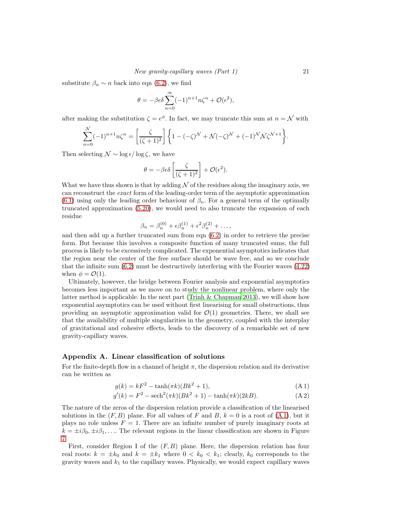substitute  $\beta_n \sim n$  back into eqn [\(6.2\)](#page-19-1), we find

$$
\theta = -\beta \epsilon \delta \sum_{n=0}^{\infty} (-1)^{n+1} n \zeta^n + \mathcal{O}(\epsilon^2),
$$

after making the substitution  $\zeta = e^{\phi}$ . In fact, we may truncate this sum at  $n = \mathcal{N}$  with

$$
\sum_{n=0}^{\mathcal{N}}(-1)^{n+1}n\zeta^{n} = \left[\frac{\zeta}{(\zeta+1)^{2}}\right] \left\{1 - (-\zeta)^{\mathcal{N}} + \mathcal{N}(-\zeta)^{\mathcal{N}} + (-1)^{\mathcal{N}}\mathcal{N}\zeta^{\mathcal{N}+1}\right\}.
$$

Then selecting  $\mathcal{N} \sim \log \epsilon / \log \zeta$ , we have

$$
\theta = -\beta \epsilon \delta \left[ \frac{\zeta}{(\zeta + 1)^2} \right] + \mathcal{O}(\epsilon^2).
$$

What we have thus shown is that by adding  $N$  of the residues along the imaginary axis, we can reconstruct the exact form of the leading-order term of the asymptotic approximation [\(6.1\)](#page-19-2) using only the leading order behaviour of  $\beta_n$ . For a general term of the optimally truncated approximation [\(5.20\)](#page-14-1), we would need to also truncate the expansion of each residue

$$
\beta_n = \beta_n^{(0)} + \epsilon \beta_n^{(1)} + \epsilon^2 \beta_n^{(2)} + \dots,
$$

and then add up a further truncated sum from eqn [\(6.2\)](#page-19-1) in order to retrieve the precise form. But because this involves a composite function of many truncated sums, the full process is likely to be excessively complicated. The exponential asymptotics indicates that the region near the center of the free surface should be wave free, and so we conclude that the infinite sum [\(6.2\)](#page-19-1) must be destructively interfering with the Fourier waves [\(4.22\)](#page-10-5) when  $\phi = \mathcal{O}(1)$ .

Ultimately, however, the bridge between Fourier analysis and exponential asymptotics becomes less important as we move on to study the nonlinear problem, where only the latter method is applicable. In the next part (Trinh  $&$  Chapman 2013), we will show how exponential asymptotics can be used without first linearising for small obstructions, thus providing an asymptotic approximation valid for  $\mathcal{O}(1)$  geometries. There, we shall see that the availability of multiple singularities in the geometry, coupled with the interplay of gravitational and cohesive effects, leads to the discovery of a remarkable set of new gravity-capillary waves.

#### <span id="page-20-0"></span>Appendix A. Linear classification of solutions

For the finite-depth flow in a channel of height  $\pi$ , the dispersion relation and its derivative can be written as

<span id="page-20-1"></span>
$$
g(k) = kF^2 - \tanh(\pi k)(Bk^2 + 1),
$$
\n(A1)

$$
g'(k) = F^2 - \text{sech}^2(\pi k)(Bk^2 + 1) - \tanh(\pi k)(2kB). \tag{A.2}
$$

The nature of the zeros of the dispersion relation provide a classification of the linearised solutions in the  $(F, B)$  plane. For all values of F and B,  $k = 0$  is a root of  $(A 1)$ , but it plays no role unless  $F = 1$ . There are an infinite number of purely imaginary roots at  $k = \pm i\beta_0, \pm i\beta_1, \ldots$  The relevant regions in the linear classification are shown in Figure [7.](#page-21-2)

First, consider Region I of the  $(F, B)$  plane. Here, the dispersion relation has four real roots:  $k = \pm k_0$  and  $k = \pm k_1$  where  $0 < k_0 < k_1$ ; clearly,  $k_0$  corresponds to the gravity waves and  $k_1$  to the capillary waves. Physically, we would expect capillary waves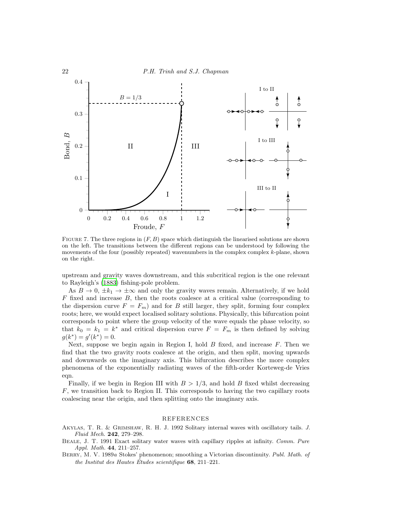

<span id="page-21-2"></span>FIGURE 7. The three regions in  $(F, B)$  space which distinguish the linearised solutions are shown on the left. The transitions between the different regions can be understood by following the movements of the four (possibly repeated) wavenumbers in the complex complex k-plane, shown on the right.

upstream and gravity waves downstream, and this subcritical region is the one relevant to Rayleigh's [\(1883\)](#page-23-0) fishing-pole problem.

As  $B \to 0$ ,  $\pm k_1 \to \pm \infty$  and only the gravity waves remain. Alternatively, if we hold  $F$  fixed and increase  $B$ , then the roots coalesce at a critical value (corresponding to the dispersion curve  $F = F_m$ ) and for B still larger, they split, forming four complex roots; here, we would expect localised solitary solutions. Physically, this bifurcation point corresponds to point where the group velocity of the wave equals the phase velocity, so that  $k_0 = k_1 = k^*$  and critical dispersion curve  $F = F_m$  is then defined by solving  $g(k^*) = g'(k^*) = 0.$ 

Next, suppose we begin again in Region I, hold  $B$  fixed, and increase  $F$ . Then we find that the two gravity roots coalesce at the origin, and then split, moving upwards and downwards on the imaginary axis. This bifurcation describes the more complex phenomena of the exponentially radiating waves of the fifth-order Korteweg-de Vries eqn.

Finally, if we begin in Region III with  $B > 1/3$ , and hold B fixed whilst decreasing  $F$ , we transition back to Region II. This corresponds to having the two capillary roots coalescing near the origin, and then splitting onto the imaginary axis.

#### REFERENCES

<span id="page-21-1"></span>Akylas, T. R. & Grimshaw, R. H. J. 1992 Solitary internal waves with oscillatory tails. *J. Fluid Mech.* 242, 279–298.

<span id="page-21-0"></span>Beale, J. T. 1991 Exact solitary water waves with capillary ripples at infinity. *Comm. Pure Appl. Math.* 44, 211–257.

<span id="page-21-3"></span>Berry, M. V. 1989*a* Stokes' phenomenon; smoothing a Victorian discontinuity. *Publ. Math. of the Institut des Hautes Etudes scientifique ´* 68, 211–221.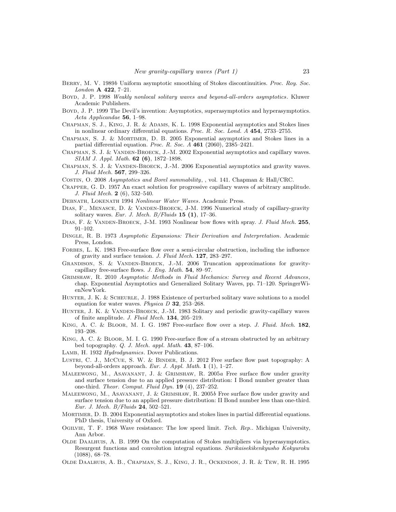- <span id="page-22-27"></span>Berry, M. V. 1989*b* Uniform asymptotic smoothing of Stokes discontinuities. *Proc. Roy. Soc. London* A 422, 7–21.
- <span id="page-22-10"></span>Boyd, J. P. 1998 *Weakly nonlocal solitary waves and beyond-all-orders asymptotics*. Kluwer Academic Publishers.
- <span id="page-22-15"></span>Boyd, J. P. 1999 The Devil's invention: Asymptotics, superasymptotics and hyperasymptotics. *Acta Applicandae* 56, 1–98.
- <span id="page-22-19"></span>Chapman, S. J., King, J. R. & Adams, K. L. 1998 Exponential asymptotics and Stokes lines in nonlinear ordinary differential equations. *Proc. R. Soc. Lond. A* 454, 2733–2755.
- <span id="page-22-13"></span>Chapman, S. J. & Mortimer, D. B. 2005 Exponential asymptotics and Stokes lines in a partial differential equation. *Proc. R. Soc. A* 461 (2060), 2385–2421.
- <span id="page-22-16"></span>Chapman, S. J. & Vanden-Broeck, J.-M. 2002 Exponential asymptotics and capillary waves. *SIAM J. Appl. Math.* 62 (6), 1872–1898.
- <span id="page-22-17"></span>CHAPMAN, S. J. & VANDEN-BROECK, J.-M. 2006 Exponential asymptotics and gravity waves. *J. Fluid Mech.* 567, 299–326.
- <span id="page-22-22"></span>Costin, O. 2008 *Asymptotics and Borel summability*, , vol. 141. Chapman & Hall/CRC.
- <span id="page-22-2"></span>Crapper, G. D. 1957 An exact solution for progressive capillary waves of arbitrary amplitude. *J. Fluid Mech.* 2 (6), 532–540.
- <span id="page-22-26"></span>Debnath, Lokenath 1994 *Nonlinear Water Waves*. Academic Press.
- <span id="page-22-4"></span>DIAS, F., MENASCE, D. & VANDEN-BROECK, J-M. 1996 Numerical study of capillary-gravity solitary waves. *Eur. J. Mech. B/Fluids* 15 (1), 17–36.
- <span id="page-22-3"></span>Dias, F. & Vanden-Broeck, J-M. 1993 Nonlinear bow flows with spray. *J. Fluid Mech.* 255, 91–102.
- <span id="page-22-14"></span>Dingle, R. B. 1973 *Asymptotic Expansions: Their Derivation and Interpretation*. Academic Press, London.
- <span id="page-22-0"></span>FORBES, L. K. 1983 Free-surface flow over a semi-circular obstruction, including the influence of gravity and surface tension. *J. Fluid Mech.* 127, 283–297.
- <span id="page-22-1"></span>Grandison, S. & Vanden-Broeck, J.-M. 2006 Truncation approximations for gravitycapillary free-surface flows. *J. Eng. Math.* 54, 89–97.
- <span id="page-22-9"></span>Grimshaw, R. 2010 *Asymptotic Methods in Fluid Mechanics: Survey and Recent Advances*, chap. Exponential Asymptotics and Generalized Solitary Waves, pp. 71–120. SpringerWienNewYork.
- <span id="page-22-8"></span>HUNTER, J. K. & SCHEURLE, J. 1988 Existence of perturbed solitary wave solutions to a model equation for water waves. *Physica D* 32, 253–268.
- <span id="page-22-7"></span>HUNTER, J. K. & VANDEN-BROECK, J.-M. 1983 Solitary and periodic gravity-capillary waves of finite amplitude. *J. Fluid Mech.* 134, 205–219.
- <span id="page-22-23"></span>King, A. C. & Bloor, M. I. G. 1987 Free-surface flow over a step. *J. Fluid. Mech.* 182, 193–208.
- <span id="page-22-24"></span>KING, A. C. & BLOOR, M. I. G. 1990 Free-surface flow of a stream obstructed by an arbitrary bed topography. *Q. J. Mech. appl. Math.* 43, 87–106.
- <span id="page-22-25"></span>Lamb, H. 1932 *Hydrodynamics*. Dover Publications.
- <span id="page-22-20"></span>LUSTRI, C. J., McCUE, S. W. & BINDER, B. J. 2012 Free surface flow past topography: A beyond-all-orders approach. *Eur. J. Appl. Math.* 1 (1), 1–27.
- <span id="page-22-5"></span>Maleewong, M., Asavanant, J. & Grimshaw, R. 2005*a* Free surface flow under gravity and surface tension due to an applied pressure distribution: I Bond number greater than one-third. *Theor. Comput. Fluid Dyn.* 19 (4), 237–252.
- <span id="page-22-6"></span>Maleewong, M., Asavanant, J. & Grimshaw, R. 2005*b* Free surface flow under gravity and surface tension due to an applied pressure distribution: II Bond number less than one-third. *Eur. J. Mech. B/Fluids* 24, 502–521.
- <span id="page-22-12"></span>MORTIMER, D. B. 2004 Exponential asymptotics and stokes lines in partial differential equations. PhD thesis, University of Oxford.
- <span id="page-22-11"></span>Ogilvie, T. F. 1968 Wave resistance: The low speed limit. *Tech. Rep.*. Michigan University, Ann Arbor.
- <span id="page-22-21"></span>Olde Daalhuis, A. B. 1999 On the computation of Stokes multipliers via hyperasymptotics. Resurgent functions and convolution integral equations. *Surikaisekikenkyusho Kokyuroku* (1088), 68–78.
- <span id="page-22-18"></span>Olde Daalhuis, A. B., Chapman, S. J., King, J. R., Ockendon, J. R. & Tew, R. H. 1995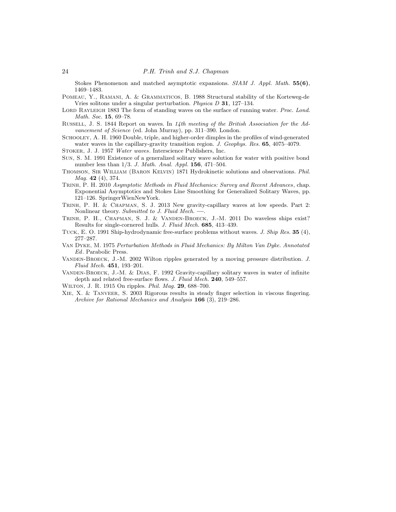Stokes Phenomenon and matched asymptotic expansions. *SIAM J. Appl. Math.* 55(6), 1469–1483.

<span id="page-23-7"></span>Pomeau, Y., Ramani, A. & Grammaticos, B. 1988 Structural stability of the Korteweg-de Vries solitons under a singular perturbation. *Physica D* 31, 127–134.

- <span id="page-23-0"></span>LORD RAYLEIGH 1883 The form of standing waves on the surface of running water. *Proc. Lond. Math. Soc.* 15, 69–78.
- <span id="page-23-1"></span>Russell, J. S. 1844 Report on waves. In *14th meeting of the British Association for the Advancement of Science* (ed. John Murray), pp. 311–390. London.
- <span id="page-23-5"></span>Schooley, A. H. 1960 Double, triple, and higher-order dimples in the profiles of wind-generated water waves in the capillary-gravity transition region. *J. Geophys. Res.* 65, 4075–4079.

<span id="page-23-12"></span>Stoker, J. J. 1957 *Water waves*. Interscience Publishers, Inc.

- <span id="page-23-8"></span>Sun, S. M. 1991 Existence of a generalized solitary wave solution for water with positive bond number less than 1/3. *J. Math. Anal. Appl.* 156, 471–504.
- <span id="page-23-2"></span>Thomson, Sir William (Baron Kelvin) 1871 Hydrokinetic solutions and observations. *Phil. Mag.* 42 (4), 374.
- <span id="page-23-9"></span>Trinh, P. H. 2010 *Asymptotic Methods in Fluid Mechanics: Survey and Recent Advances*, chap. Exponential Asymptotics and Stokes Line Smoothing for Generalized Solitary Waves, pp. 121–126. SpringerWienNewYork.
- <span id="page-23-15"></span>Trinh, P. H. & Chapman, S. J. 2013 New gravity-capillary waves at low speeds. Part 2: Nonlinear theory. *Submitted to J. Fluid Mech.* –
- <span id="page-23-10"></span>Trinh, P. H., Chapman, S. J. & Vanden-Broeck, J.-M. 2011 Do waveless ships exist? Results for single-cornered hulls. *J. Fluid Mech.* 685, 413–439.
- <span id="page-23-11"></span>Tuck, E. O. 1991 Ship-hydrodynamic free-surface problems without waves. *J. Ship Res.* 35 (4), 277–287.
- <span id="page-23-14"></span>Van Dyke, M. 1975 *Perturbation Methods in Fluid Mechanics: By Milton Van Dyke. Annotated Ed*. Parabolic Press.
- <span id="page-23-4"></span>Vanden-Broeck, J.-M. 2002 Wilton ripples generated by a moving pressure distribution. *J. Fluid Mech.* 451, 193–201.
- <span id="page-23-6"></span>VANDEN-BROECK, J.-M. & DIAS, F. 1992 Gravity-capillary solitary waves in water of infinite depth and related free-surface flows. *J. Fluid Mech.* 240, 549–557.
- <span id="page-23-3"></span>Wilton, J. R. 1915 On ripples. *Phil. Mag.* 29, 688–700.
- <span id="page-23-13"></span>Xie, X. & Tanveer, S. 2003 Rigorous results in steady finger selection in viscous fingering. *Archive for Rational Mechanics and Analysis* 166 (3), 219–286.